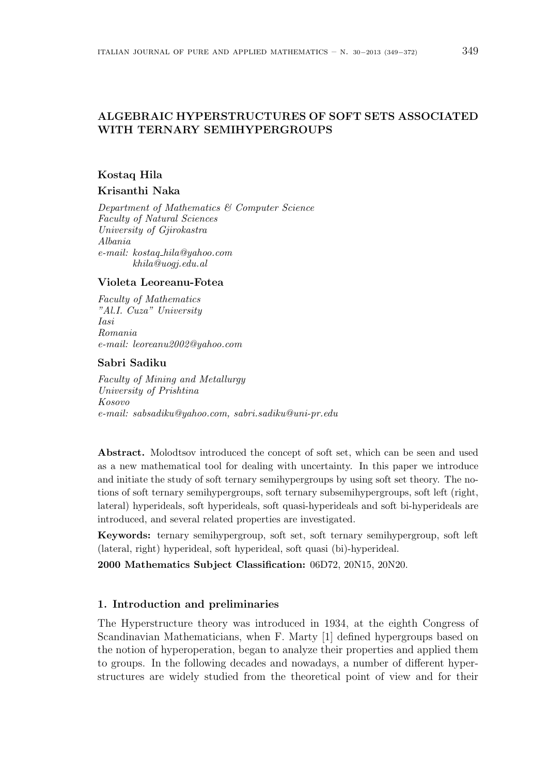# **ALGEBRAIC HYPERSTRUCTURES OF SOFT SETS ASSOCIATED WITH TERNARY SEMIHYPERGROUPS**

### **Kostaq Hila**

### **Krisanthi Naka**

*Department of Mathematics & Computer Science Faculty of Natural Sciences University of Gjirokastra Albania e-mail: kostaq hila@yahoo.com khila@uogj.edu.al*

#### **Violeta Leoreanu-Fotea**

*Faculty of Mathematics "Al.I. Cuza" University Iasi Romania e-mail: leoreanu2002@yahoo.com*

#### **Sabri Sadiku**

*Faculty of Mining and Metallurgy University of Prishtina Kosovo e-mail: sabsadiku@yahoo.com, sabri.sadiku@uni-pr.edu*

**Abstract.** Molodtsov introduced the concept of soft set, which can be seen and used as a new mathematical tool for dealing with uncertainty. In this paper we introduce and initiate the study of soft ternary semihypergroups by using soft set theory. The notions of soft ternary semihypergroups, soft ternary subsemihypergroups, soft left (right, lateral) hyperideals, soft hyperideals, soft quasi-hyperideals and soft bi-hyperideals are introduced, and several related properties are investigated.

**Keywords:** ternary semihypergroup, soft set, soft ternary semihypergroup, soft left (lateral, right) hyperideal, soft hyperideal, soft quasi (bi)-hyperideal.

**2000 Mathematics Subject Classification:** 06D72, 20N15, 20N20.

### **1. Introduction and preliminaries**

The Hyperstructure theory was introduced in 1934, at the eighth Congress of Scandinavian Mathematicians, when F. Marty [1] defined hypergroups based on the notion of hyperoperation, began to analyze their properties and applied them to groups. In the following decades and nowadays, a number of different hyperstructures are widely studied from the theoretical point of view and for their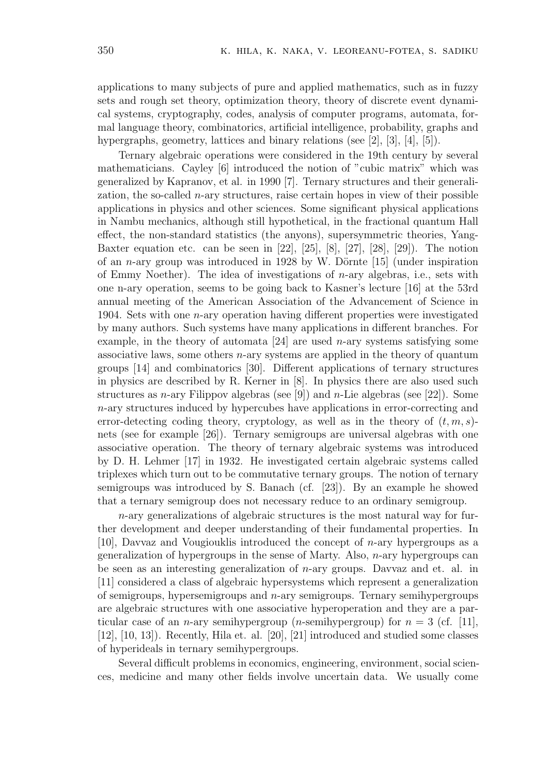applications to many subjects of pure and applied mathematics, such as in fuzzy sets and rough set theory, optimization theory, theory of discrete event dynamical systems, cryptography, codes, analysis of computer programs, automata, formal language theory, combinatorics, artificial intelligence, probability, graphs and hypergraphs, geometry, lattices and binary relations (see [2], [3], [4], [5]).

Ternary algebraic operations were considered in the 19th century by several mathematicians. Cayley [6] introduced the notion of "cubic matrix" which was generalized by Kapranov, et al. in 1990 [7]. Ternary structures and their generalization, the so-called *n*-ary structures, raise certain hopes in view of their possible applications in physics and other sciences. Some significant physical applications in Nambu mechanics, although still hypothetical, in the fractional quantum Hall effect, the non-standard statistics (the anyons), supersymmetric theories, Yang-Baxter equation etc. can be seen in [22], [25], [8], [27], [28], [29]). The notion of an  $n$ -ary group was introduced in 1928 by W. Dörnte  $[15]$  (under inspiration of Emmy Noether). The idea of investigations of *n*-ary algebras, i.e., sets with one n-ary operation, seems to be going back to Kasner's lecture [16] at the 53rd annual meeting of the American Association of the Advancement of Science in 1904. Sets with one *n*-ary operation having different properties were investigated by many authors. Such systems have many applications in different branches. For example, in the theory of automata [24] are used *n*-ary systems satisfying some associative laws, some others *n*-ary systems are applied in the theory of quantum groups [14] and combinatorics [30]. Different applications of ternary structures in physics are described by R. Kerner in [8]. In physics there are also used such structures as *n*-ary Filippov algebras (see [9]) and *n*-Lie algebras (see [22]). Some *n*-ary structures induced by hypercubes have applications in error-correcting and error-detecting coding theory, cryptology, as well as in the theory of  $(t, m, s)$ nets (see for example [26]). Ternary semigroups are universal algebras with one associative operation. The theory of ternary algebraic systems was introduced by D. H. Lehmer [17] in 1932. He investigated certain algebraic systems called triplexes which turn out to be commutative ternary groups. The notion of ternary semigroups was introduced by S. Banach (cf. [23]). By an example he showed that a ternary semigroup does not necessary reduce to an ordinary semigroup.

*n*-ary generalizations of algebraic structures is the most natural way for further development and deeper understanding of their fundamental properties. In [10], Davvaz and Vougiouklis introduced the concept of *n*-ary hypergroups as a generalization of hypergroups in the sense of Marty. Also, *n*-ary hypergroups can be seen as an interesting generalization of *n*-ary groups. Davvaz and et. al. in [11] considered a class of algebraic hypersystems which represent a generalization of semigroups, hypersemigroups and *n*-ary semigroups. Ternary semihypergroups are algebraic structures with one associative hyperoperation and they are a particular case of an *n*-ary semihypergroup (*n*-semihypergroup) for  $n = 3$  (cf. [11], [12], [10, 13]). Recently, Hila et. al. [20], [21] introduced and studied some classes of hyperideals in ternary semihypergroups.

Several difficult problems in economics, engineering, environment, social sciences, medicine and many other fields involve uncertain data. We usually come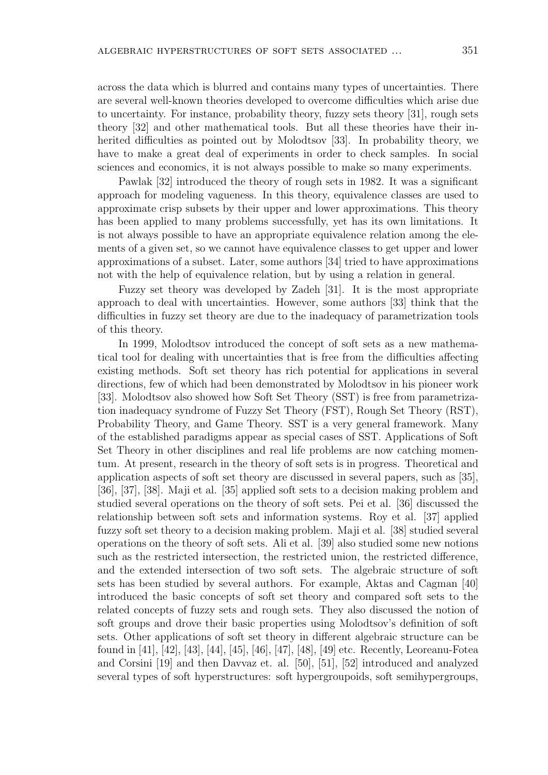across the data which is blurred and contains many types of uncertainties. There are several well-known theories developed to overcome difficulties which arise due to uncertainty. For instance, probability theory, fuzzy sets theory [31], rough sets theory [32] and other mathematical tools. But all these theories have their inherited difficulties as pointed out by Molodtsov [33]. In probability theory, we have to make a great deal of experiments in order to check samples. In social sciences and economics, it is not always possible to make so many experiments.

Pawlak [32] introduced the theory of rough sets in 1982. It was a significant approach for modeling vagueness. In this theory, equivalence classes are used to approximate crisp subsets by their upper and lower approximations. This theory has been applied to many problems successfully, yet has its own limitations. It is not always possible to have an appropriate equivalence relation among the elements of a given set, so we cannot have equivalence classes to get upper and lower approximations of a subset. Later, some authors [34] tried to have approximations not with the help of equivalence relation, but by using a relation in general.

Fuzzy set theory was developed by Zadeh [31]. It is the most appropriate approach to deal with uncertainties. However, some authors [33] think that the difficulties in fuzzy set theory are due to the inadequacy of parametrization tools of this theory.

In 1999, Molodtsov introduced the concept of soft sets as a new mathematical tool for dealing with uncertainties that is free from the difficulties affecting existing methods. Soft set theory has rich potential for applications in several directions, few of which had been demonstrated by Molodtsov in his pioneer work [33]. Molodtsov also showed how Soft Set Theory (SST) is free from parametrization inadequacy syndrome of Fuzzy Set Theory (FST), Rough Set Theory (RST), Probability Theory, and Game Theory. SST is a very general framework. Many of the established paradigms appear as special cases of SST. Applications of Soft Set Theory in other disciplines and real life problems are now catching momentum. At present, research in the theory of soft sets is in progress. Theoretical and application aspects of soft set theory are discussed in several papers, such as [35], [36], [37], [38]. Maji et al. [35] applied soft sets to a decision making problem and studied several operations on the theory of soft sets. Pei et al. [36] discussed the relationship between soft sets and information systems. Roy et al. [37] applied fuzzy soft set theory to a decision making problem. Maji et al. [38] studied several operations on the theory of soft sets. Ali et al. [39] also studied some new notions such as the restricted intersection, the restricted union, the restricted difference, and the extended intersection of two soft sets. The algebraic structure of soft sets has been studied by several authors. For example, Aktas and Cagman [40] introduced the basic concepts of soft set theory and compared soft sets to the related concepts of fuzzy sets and rough sets. They also discussed the notion of soft groups and drove their basic properties using Molodtsov's definition of soft sets. Other applications of soft set theory in different algebraic structure can be found in [41], [42], [43], [44], [45], [46], [47], [48], [49] etc. Recently, Leoreanu-Fotea and Corsini [19] and then Davvaz et. al. [50], [51], [52] introduced and analyzed several types of soft hyperstructures: soft hypergroupoids, soft semihypergroups,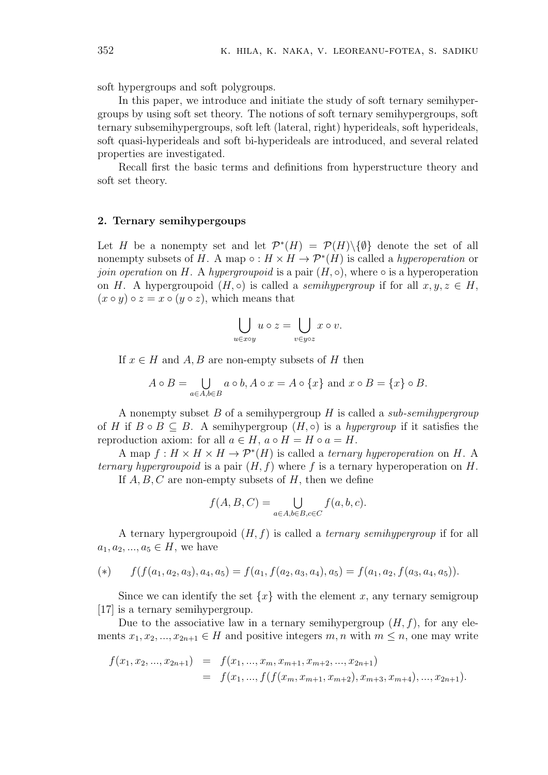soft hypergroups and soft polygroups.

In this paper, we introduce and initiate the study of soft ternary semihypergroups by using soft set theory. The notions of soft ternary semihypergroups, soft ternary subsemihypergroups, soft left (lateral, right) hyperideals, soft hyperideals, soft quasi-hyperideals and soft bi-hyperideals are introduced, and several related properties are investigated.

Recall first the basic terms and definitions from hyperstructure theory and soft set theory.

#### **2. Ternary semihypergoups**

Let *H* be a nonempty set and let  $\mathcal{P}^*(H) = \mathcal{P}(H) \setminus \{\emptyset\}$  denote the set of all nonempty subsets of *H*. A map  $\circ$  :  $H \times H \to \mathcal{P}^*(H)$  is called a *hyperoperation* or *join operation* on *H*. A *hypergroupoid* is a pair  $(H, \circ)$ , where  $\circ$  is a hyperoperation  $\circ$ on *H*. A hypergroupoid  $(H, \circ)$  is called a *semihypergroup* if for all  $x, y, z \in H$ ,  $(x \circ y) \circ z = x \circ (y \circ z)$ , which means that

$$
\bigcup_{u \in x \circ y} u \circ z = \bigcup_{v \in y \circ z} x \circ v.
$$

If  $x \in H$  and  $A, B$  are non-empty subsets of  $H$  then

$$
A \circ B = \bigcup_{a \in A, b \in B} a \circ b, A \circ x = A \circ \{x\} \text{ and } x \circ B = \{x\} \circ B.
$$

A nonempty subset *B* of a semihypergroup *H* is called a *sub-semihypergroup* of *H* if  $B \circ B \subseteq B$ . A semihypergroup  $(H, \circ)$  is a *hypergroup* if it satisfies the reproduction axiom: for all  $a \in H$ ,  $a \circ H = H \circ a = H$ .

A map  $f : H \times H \times H \to \mathcal{P}^*(H)$  is called a *ternary hyperoperation* on *H*. A<br>*ary hypergroupoid* is a pair  $(H, f)$  where  $f$  is a ternary hyperoperation on *H*.<br>If *A*, *B*, *C* are non-empty subsets of *H*, then we define *ternary hypergroupoid* is a pair (*H, f*) where *f* is a ternary hyperoperation on *H*. If *A, B, C* are non-empty subsets of *H*, then we define

$$
f(A, B, C) = \bigcup_{a \in A, b \in B, c \in C} f(a, b, c).
$$

A ternary hypergroupoid (*H, f*) is called a *ternary semihypergroup* if for all  $a_1, a_2, ..., a_5 \in H$ , we have

(\*) 
$$
f(f(a_1, a_2, a_3), a_4, a_5) = f(a_1, f(a_2, a_3, a_4), a_5) = f(a_1, a_2, f(a_3, a_4, a_5)).
$$

Since we can identify the set  $\{x\}$  with the element *x*, any ternary semigroup [17] is a ternary semihypergroup.

Due to the associative law in a ternary semihypergroup  $(H, f)$ , for any elements  $x_1, x_2, ..., x_{2n+1} \in H$  and positive integers  $m, n$  with  $m \leq n$ , one may write

$$
f(x_1, x_2, ..., x_{2n+1}) = f(x_1, ..., x_m, x_{m+1}, x_{m+2}, ..., x_{2n+1})
$$
  
=  $f(x_1, ..., f(f(x_m, x_{m+1}, x_{m+2}), x_{m+3}, x_{m+4}), ..., x_{2n+1}).$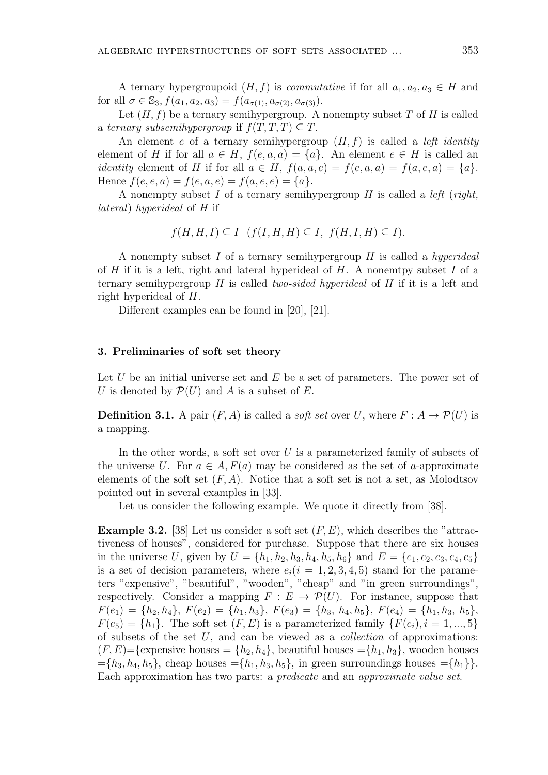A ternary hypergroupoid  $(H, f)$  is *commutative* if for all  $a_1, a_2, a_3 \in H$  and for all  $\sigma \in \mathbb{S}_3$ ,  $f(a_1, a_2, a_3) = f(a_{\sigma(1)}, a_{\sigma(2)}, a_{\sigma(3)})$ .

Let  $(H, f)$  be a ternary semihypergroup. A nonempty subset T of H is called a *ternary subsemihypergroup* if  $f(T, T, T) \subseteq T$ .

An element *e* of a ternary semihypergroup (*H, f*) is called a *left identity* element of *H* if for all  $a \in H$ ,  $f(e, a, a) = \{a\}$ . An element  $e \in H$  is called an *identity* element of *H* if for all  $a \in H$ ,  $f(a, a, e) = f(e, a, a) = f(a, e, a) = \{a\}$ . Hence  $f(e, e, a) = f(e, a, e) = f(a, e, e) = \{a\}.$ 

A nonempty subset *I* of a ternary semihypergroup *H* is called a *left* (*right, lateral*) *hyperideal* of *H* if

$$
f(H, H, I) \subseteq I \quad (f(I, H, H) \subseteq I, \ f(H, I, H) \subseteq I).
$$

A nonempty subset *I* of a ternary semihypergroup *H* is called a *hyperideal* of *H* if it is a left, right and lateral hyperideal of *H*. A nonemtpy subset *I* of a ternary semihypergroup *H* is called *two-sided hyperideal* of *H* if it is a left and right hyperideal of *H*.

Different examples can be found in [20], [21].

#### **3. Preliminaries of soft set theory**

Let *U* be an initial universe set and *E* be a set of parameters. The power set of *U* is denoted by  $\mathcal{P}(U)$  and *A* is a subset of *E*.

**Definition 3.1.** A pair  $(F, A)$  is called a *soft set* over *U*, where  $F: A \rightarrow \mathcal{P}(U)$  is a mapping.

In the other words, a soft set over *U* is a parameterized family of subsets of the universe *U*. For  $a \in A$ ,  $F(a)$  may be considered as the set of *a*-approximate elements of the soft set  $(F, A)$ . Notice that a soft set is not a set, as Molodtsov pointed out in several examples in [33].

Let us consider the following example. We quote it directly from [38].

**Example 3.2.** [38] Let us consider a soft set (*F, E*), which describes the "attractiveness of houses", considered for purchase. Suppose that there are six houses in the universe U, given by  $U = \{h_1, h_2, h_3, h_4, h_5, h_6\}$  and  $E = \{e_1, e_2, e_3, e_4, e_5\}$ is a set of decision parameters, where  $e_i(i = 1, 2, 3, 4, 5)$  stand for the parameters "expensive", "beautiful", "wooden", "cheap" and "in green surroundings", respectively. Consider a mapping  $F : E \to \mathcal{P}(U)$ . For instance, suppose that  $F(e_1) = \{h_2, h_4\}, F(e_2) = \{h_1, h_3\}, F(e_3) = \{h_3, h_4, h_5\}, F(e_4) = \{h_1, h_3, h_5\},$  $F(e_5) = \{h_1\}$ . The soft set  $(F, E)$  is a parameterized family  $\{F(e_i), i = 1, ..., 5\}$ of subsets of the set *U*, and can be viewed as a *collection* of approximations:  $(F, E)$ ={expensive houses =  $\{h_2, h_4\}$ }, beautiful houses =  $\{h_1, h_3\}$ , wooden houses  $=\{h_3, h_4, h_5\}$ , cheap houses  $=\{h_1, h_3, h_5\}$ , in green surroundings houses  $=\{h_1\}$ . Each approximation has two parts: a *predicate* and an *approximate value set*.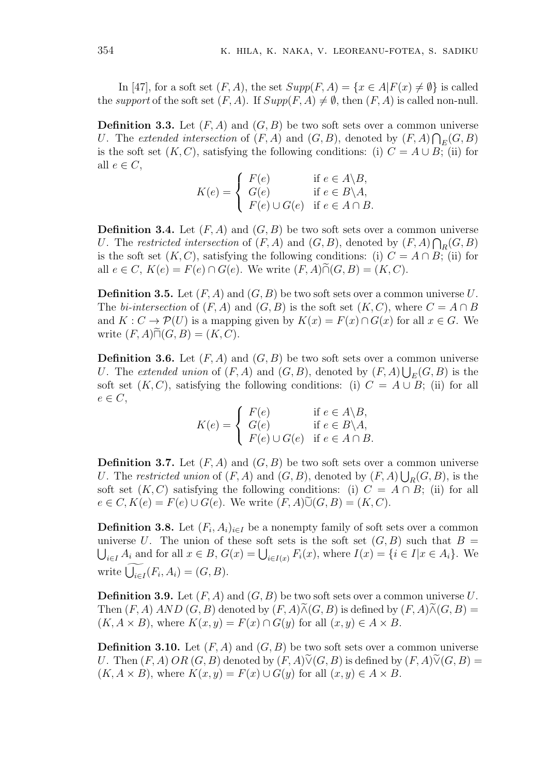In [47], for a soft set  $(F, A)$ , the set  $Supp(F, A) = \{x \in A | F(x) \neq \emptyset\}$  is called the *support* of the soft set  $(F, A)$ . If  $Supp(F, A) \neq \emptyset$ , then  $(F, A)$  is called non-null.

**Definition 3.3.** Let  $(F, A)$  and  $(G, B)$  be two soft sets over a common universe *U*. The *extended intersection* of  $(F, A)$  and  $(G, B)$ , denoted by  $(F, A) \bigcap_E (G, B)$ is the soft set  $(K, C)$ , satisfying the following conditions: (i)  $C = A \cup B$ ; (ii) for all  $e \in C$ ,  $\overline{u}$ 

$$
K(e) = \begin{cases} F(e) & \text{if } e \in A \backslash B, \\ G(e) & \text{if } e \in B \backslash A, \\ F(e) \cup G(e) & \text{if } e \in A \cap B. \end{cases}
$$

**Definition 3.4.** Let  $(F, A)$  and  $(G, B)$  be two soft sets over a common universe *U*. The *restricted intersection* of  $(F, A)$  and  $(G, B)$ , denoted by  $(F, A) \bigcap_R (G, B)$ is the soft set  $(K, C)$ , satisfying the following conditions: (i)  $C = A \cap B$ ; (ii) for **Definition 3.4.** Let  $(F, A)$  and  $(G, B)$  be two soft sets over a co:<br>*U*. The restricted intersection of  $(F, A)$  and  $(G, B)$ , denoted by (*c*) is the soft set  $(K, C)$ , satisfying the following conditions: (i)  $C =$  all  $e \in C$ ,

**Definition 3.5.** Let (*F, A*) and (*G, B*) be two soft sets over a common universe *U*. The *bi-intersection* of  $(F, A)$  and  $(G, B)$  is the soft set  $(K, C)$ , where  $C = A \cap B$ and  $K: C \to \mathcal{P}(U)$  is a mapping given by  $K(x) = F(x) \cap G(x)$  for all  $x \in G$ . We **Definition 3.5.** Let  $(F, A)$  and  $F: C \to \mathcal{P}(U)$  is a mappi write  $(F, A) \tilde{\sqcap} (G, B) = (K, C)$ .  $\frac{1}{2}$ 

**Definition 3.6.** Let  $(F, A)$  and  $(G, B)$  be two soft sets over a common universe *U*. The *extended union* of  $(F, A)$  and  $(G, B)$ , denoted by  $(F, A) \bigcup_{E} (G, B)$  is the soft set  $(K, C)$ , satisfying the following conditions: (i)  $C = A \cup B$ ; (ii) for all  $e \in C$ , 111'<br>7

$$
K(e) = \begin{cases} F(e) & \text{if } e \in A \backslash B, \\ G(e) & \text{if } e \in B \backslash A, \\ F(e) \cup G(e) & \text{if } e \in A \cap B. \end{cases}
$$

**Definition 3.7.** Let  $(F, A)$  and  $(G, B)$  be two soft sets over a common universe *U*. The *restricted union* of  $(F, A)$  and  $(G, B)$ , denoted by  $(F, A) \bigcup_R (G, B)$ , is the soft set  $(K, C)$  satisfying the following conditions: (i)  $C = A \cap B$ ; (ii) for all **Definition 3.7.** Let  $(F, A)$  and  $(G, B)$  be two soft sets over  $\varepsilon$  *U*. The restricted union of  $(F, A)$  and  $(G, B)$ , denoted by  $(F, A)$  soft set  $(K, C)$  satisfying the following conditions: (i)  $C = e \in C, K(e) = F(e) \cup G(e)$ . We writ

**Definition 3.8.** Let  $(F_i, A_i)_{i \in I}$  be a nonempty family of soft sets over a common  $e \in C, K(e) = F(e) \cup G(e)$ . We write  $(F, A) \tilde{\cup} (G, B) = (K, C)$ .<br>**Definition 3.8.** Let  $(F_i, A_i)_{i \in I}$  be a nonempty family of soft sets over a common universe *U*. The union of these soft sets is the soft set  $(G, B)$  such that  $B =$  $\in C, K(e) = F(e) \cup G(e)$ . We write  $(F, A)\tilde{\cup}(G, B) = (K, C)$ .<br> **efinition 3.8.** Let  $(F_i, A_i)_{i \in I}$  be a nonempty family of soft sets over a common<br>
iverse U. The union of these soft sets is the soft set  $(G, B)$  such that  $B =$ <br>  $i \in I$ **Definition 3.8.** Let  $(F_i, A_i)$ <br>universe *U*. The union of  $\bigcup_{i \in I} A_i$  and for all  $x \in B$ , *G* write  $\widehat{\bigcup_{i \in I} (F_i, A_i)} = (G, B)$ .

**Definition 3.9.** Let (*F, A*) and (*G, B*) be two soft sets over a common universe *U*. Then  $(F, A)$  *AND*  $(G, B)$  denoted by  $(F, A) \widetilde{\wedge} (G, B)$  is defined by  $(F, A) \widetilde{\wedge} (G, B)$  =  $(K, A \times B)$ , where  $K(x, y) = F(x) \cap G(y)$  for all  $(x, y) \in A \times B$ .

**Definition 3.10.** Let  $(F, A)$  and  $(G, B)$  be two soft sets over a common universe *U*. Then  $(F, A)$   $OR$   $(G, B)$  denoted by  $(F, A)$  $\widetilde{\vee}$  $(G, B)$  is defined by  $(F, A) \widetilde{\vee}$  $(G, B)$  =  $(K, A \times B)$ , where  $K(x, y) = F(x) \cup G(y)$  for all  $(x, y) \in A \times B$ .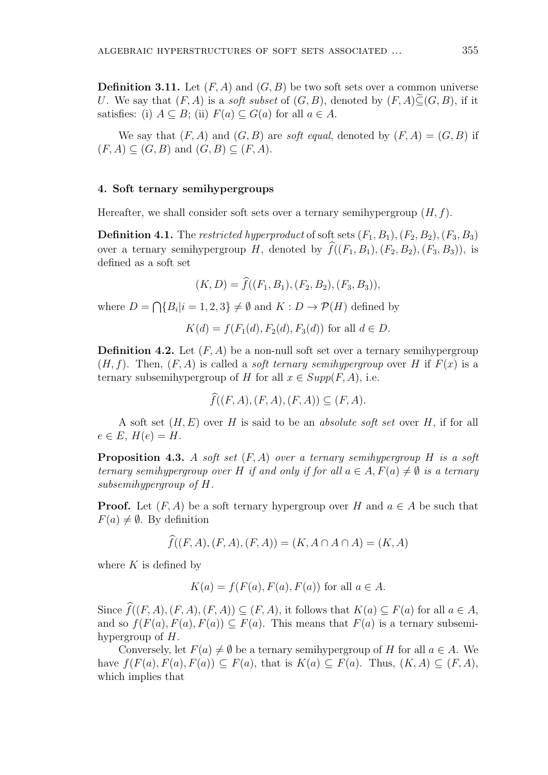**Definition 3.11.** Let  $(F, A)$  and  $(G, B)$  be two soft sets over a common universe *U*. We say that  $(F, A)$  is a *soft subset* of  $(G, B)$ , denoted by  $(F, A) \widetilde{\subset} (G, B)$ , if it satisfies: (i)  $A \subseteq B$ ; (ii)  $F(a) \subseteq G(a)$  for all  $a \in A$ .

We say that  $(F, A)$  and  $(G, B)$  are *soft equal*, denoted by  $(F, A) = (G, B)$  if  $(F, A)$  ⊂  $(G, B)$  and  $(G, B)$  ⊂  $(F, A)$ .

#### **4. Soft ternary semihypergroups**

Hereafter, we shall consider soft sets over a ternary semihypergroup (*H, f*).

**Definition 4.1.** The *restricted hyperproduct* of soft sets  $(F_1, B_1)$ ,  $(F_2, B_2)$ ,  $(F_3, B_3)$ Hereafter, we shall consider soft sets over a ternary semihypergroup  $(H, f)$ .<br>**Definition 4.1.** The *restricted hyperproduct* of soft sets  $(F_1, B_1)$ ,  $(F_2, B_2)$ ,  $(F_3, B_3)$ ), over a ternary semihypergroup  $H$ , denoted by defined as a soft set for *f* context in the *f*((*F*<sub>1</sub>*, B*<sub>1</sub>*)*,<br>(*K, D*) =  $\hat{f}((F_1, B_1), (F_2, B_2), (F_3, B_3))$ , ∩

$$
(K, D) = \widehat{f}((F_1, B_1), (F_2, B_2), (F_3, B_3)),
$$

where  $D = \bigcap \{B_i | i = 1, 2, 3\} \neq \emptyset$  and  $K : D \to \mathcal{P}(H)$  defined by

$$
K(d) = f(F_1(d), F_2(d), F_3(d))
$$
 for all  $d \in D$ .

**Definition 4.2.** Let (*F, A*) be a non-null soft set over a ternary semihypergroup  $(H, f)$ . Then,  $(F, A)$  is called a *soft ternary semihypergroup* over *H* if  $F(x)$  is a ternary subsemihypergroup of *H* for all  $x \in Supp(F, A)$ , i.e. *f*, *A*) be a non-null soft set over a called a *soft ternary semihypergr* oup of *H* for all  $x \in Supp(F, A)$ ,  $\hat{f}((F, A), (F, A), (F, A)) \subseteq (F, A)$ .

$$
\widehat{f}((F,A),(F,A),(F,A))\subseteq (F,A).
$$

A soft set (*H, E*) over *H* is said to be an *absolute soft set* over *H*, if for all  $e \in E$ ,  $H(e) = H$ .

**Proposition 4.3.** *A soft set* (*F, A*) *over a ternary semihypergroup H is a soft ternary semihypergroup over H if and only if for all*  $a \in A$ ,  $F(a) \neq \emptyset$  *is a ternary subsemihypergroup of H.*

**Proof.** Let  $(F, A)$  be a soft ternary hypergroup over *H* and  $a \in A$  be such that  $F(a) \neq \emptyset$ . By definition *f*<sub>*f*</sub>(*F, A*) be a soft ternary hypergroup over *H* and  $a \in A$ <br>definition<br> $\hat{f}((F, A), (F, A), (F, A)) = (K, A \cap A \cap A) = (K, A)$ 

$$
f((F, A), (F, A), (F, A)) = (K, A \cap A \cap A) = (K, A)
$$

where  $K$  is defined by

$$
K(a) = f(F(a), F(a), F(a))
$$
 for all  $a \in A$ .

Since  $\widehat{f}((F, A), (F, A), (F, A)) \subseteq (F, A)$ , it follows that  $K(a) \subseteq F(a)$  for all  $a \in A$ , and so  $f(F(a), F(a), F(a)) \subseteq F(a)$ . This means that  $F(a)$  is a ternary subsemihypergroup of *H*.

Conversely, let  $F(a) \neq \emptyset$  be a ternary semihypergroup of *H* for all  $a \in A$ . We have  $f(F(a), F(a), F(a)) \subseteq F(a)$ , that is  $K(a) \subseteq F(a)$ . Thus,  $(K, A) \subseteq (F, A)$ , which implies that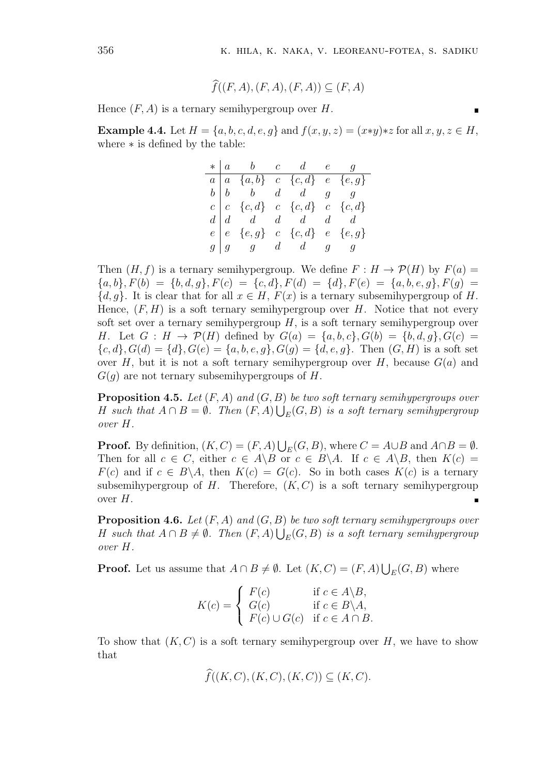п

K. HILA, K. NAKA, V. LEORE.  

$$
\widehat{f}((F, A), (F, A), (F, A)) \subseteq (F, A)
$$

Hence  $(F, A)$  is a ternary semihypergroup over  $H$ .

**Example 4.4.** Let  $H = \{a, b, c, d, e, g\}$  and  $f(x, y, z) = (x * y) * z$  for all  $x, y, z \in H$ , where *∗* is defined by the table:

|  | $*   a \t b \t c \t d \t e \t g$                                                                                                                                                                                                                                     |  |  |
|--|----------------------------------------------------------------------------------------------------------------------------------------------------------------------------------------------------------------------------------------------------------------------|--|--|
|  |                                                                                                                                                                                                                                                                      |  |  |
|  |                                                                                                                                                                                                                                                                      |  |  |
|  |                                                                                                                                                                                                                                                                      |  |  |
|  |                                                                                                                                                                                                                                                                      |  |  |
|  | $\begin{array}{ c cccc } \hline a & a & \{a,b\} & c & \{c,d\} & e & \{e,g\} \\ b & b & b & d & d & g & g \\ c & \{c,d\} & c & \{c,d\} & c & \{c,d\} \\ d & d & d & d & d & d \\ e & \{e\}, g\} & c & \{c,d\} & e & \{e,g\} \\ g & g & g & d & d & g & g \end{array}$ |  |  |
|  |                                                                                                                                                                                                                                                                      |  |  |

Then  $(H, f)$  is a ternary semihypergroup. We define  $F : H \to \mathcal{P}(H)$  by  $F(a) =$  ${a, b}, F(b) = {b, d, g}, F(c) = {c, d}, F(d) = {d}, F(e) = {a, b, e, g}, F(g) =$  ${d, g}$ . It is clear that for all  $x \in H$ ,  $F(x)$  is a ternary subsemihypergroup of *H*. Hence,  $(F, H)$  is a soft ternary semihypergroup over *H*. Notice that not every soft set over a ternary semihypergroup *H*, is a soft ternary semihypergroup over *H*. Let  $G : H \to \mathcal{P}(H)$  defined by  $G(a) = \{a, b, c\}, G(b) = \{b, d, g\}, G(c) =$  ${c, d}$ ,  $G(d) = {d}$ ,  $G(e) = {a, b, e, g}$ ,  $G(g) = {d, e, g}$ . Then  $(G, H)$  is a soft set over *H*, but it is not a soft ternary semihypergroup over *H*, because  $G(a)$  and *G*(*g*) are not ternary subsemihypergroups of *H*.

**Proposition 4.5.** *Let* (*F, A*) *and* (*G, B*) *be two soft ternary semihypergroups over H* such that  $A \cap B = \emptyset$ . Then  $(F, A) \bigcup_E (G, B)$  is a soft ternary semihypergroup *over H.*  $\mathbf{u}$ 

**Proof.** By definition,  $(K, C) = (F, A) \bigcup_{E} (G, B)$ , where  $C = A \cup B$  and  $A \cap B = \emptyset$ . Then for all  $c \in C$ , either  $c \in A \ B$  or  $c \in B \ A$ . If  $c \in A \ B$ , then  $K(c) =$  $F(c)$  and if  $c \in B \setminus A$ , then  $K(c) = G(c)$ . So in both cases  $K(c)$  is a ternary subsemihypergroup of  $H$ . Therefore,  $(K, C)$  is a soft ternary semihypergroup over *H*.  $\blacksquare$ 

**Proposition 4.6.** *Let* (*F, A*) *and* (*G, B*) *be two soft ternary semihypergroups over H* such that  $A \cap B \neq \emptyset$ . Then  $(F, A) \bigcup_E (G, B)$  is a soft ternary semihypergroup *over H.*

**Proof.** Let us assume that  $A \cap B \neq \emptyset$ . Let  $(K, C) = (F, A) \bigcup_{E} (G, B)$  where

$$
K(c) = \begin{cases} F(c) & \text{if } c \in A \backslash B, \\ G(c) & \text{if } c \in B \backslash A, \\ F(c) \cup G(c) & \text{if } c \in A \cap B. \end{cases}
$$

To show that  $(K, C)$  is a soft ternary semihypergroup over  $H$ , we have to show that *f* $f((K, C), (K, C), (K, C)) \subseteq (K, C).$ 

$$
\widehat{f}((K, C), (K, C), (K, C)) \subseteq (K, C).
$$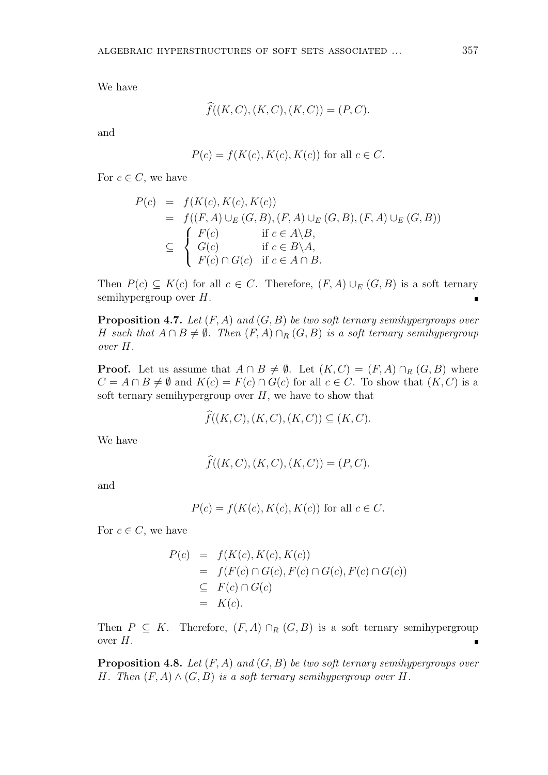We have

$$
\hat{f}((K, C), (K, C), (K, C)) = (P, C).
$$

and

$$
P(c) = f(K(c), K(c), K(c))
$$
 for all  $c \in C$ .

For  $c \in C$ , we have

$$
P(c) = f(K(c), K(c), K(c))
$$
  
=  $f((F, A) \cup_{E} (G, B), (F, A) \cup_{E} (G, B), (F, A) \cup_{E} (G, B))$   

$$
\subseteq \begin{cases} F(c) & \text{if } c \in A \setminus B, \\ G(c) & \text{if } c \in B \setminus A, \\ F(c) \cap G(c) & \text{if } c \in A \cap B. \end{cases}
$$

Then  $P(c) \subseteq K(c)$  for all  $c \in C$ . Therefore,  $(F, A) \cup_E (G, B)$  is a soft ternary semihypergroup over *H*.

**Proposition 4.7.** *Let* (*F, A*) *and* (*G, B*) *be two soft ternary semihypergroups over H* such that  $A \cap B \neq \emptyset$ . Then  $(F, A) \cap_R (G, B)$  is a soft ternary semihypergroup *over H.*

**Proof.** Let us assume that  $A \cap B \neq \emptyset$ . Let  $(K, C) = (F, A) \cap_R (G, B)$  where *C* = *A* ∩ *B*  $\neq$  *Ø* and *K*(*c*) = *F*(*c*) ∩ *G*(*c*) for all *c* ∈ *C*. To show that (*K, C*) is a soft ternary semihypergroup over  $H$ , we have to show that *f*g that  $A \cap B \neq \emptyset$ . Let  $(K, C) = (C)$ <br>  $F(c) \cap G(c)$  for all  $c \in C$ . To group over *H*, we have to show tha  $\hat{f}((K, C), (K, C), (K, C)) \subseteq (K, C)$ .

$$
\widehat{f}((K, C), (K, C), (K, C)) \subseteq (K, C).
$$
  

$$
\widehat{f}((K, C), (K, C), (K, C)) = (P, C).
$$

We have

$$
\widehat{f}((K, C), (K, C), (K, C)) = (P, C).
$$

and

 $P(c) = f(K(c), K(c), K(c))$  for all  $c \in C$ .

For  $c \in C$ , we have

$$
P(c) = f(K(c), K(c), K(c))
$$
  
=  $f(F(c) \cap G(c), F(c) \cap G(c), F(c) \cap G(c))$   
 $\subseteq F(c) \cap G(c)$   
=  $K(c)$ .

Then  $P \subseteq K$ . Therefore,  $(F, A) \cap_R (G, B)$  is a soft ternary semihypergroup over *H*.  $\blacksquare$ 

**Proposition 4.8.** *Let* (*F, A*) *and* (*G, B*) *be two soft ternary semihypergroups over H. Then*  $(F, A) \wedge (G, B)$  *is a soft ternary semihypergroup over H.*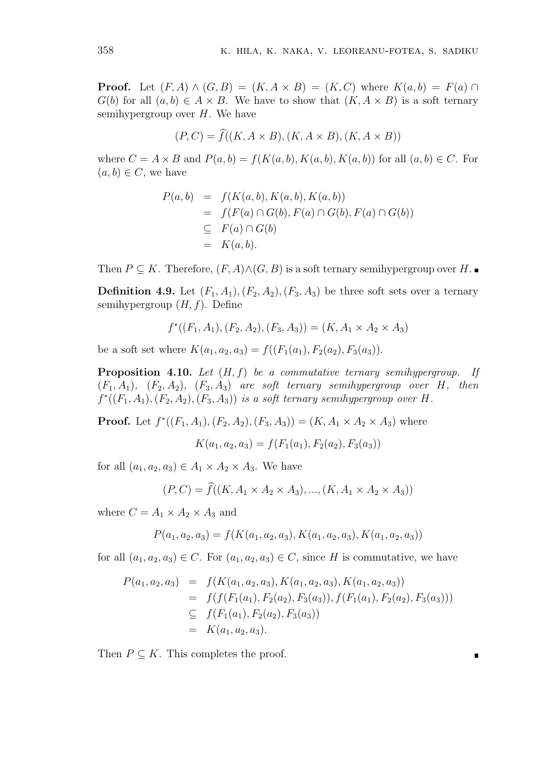**Proof.** Let  $(F, A) \wedge (G, B) = (K, A \times B) = (K, C)$  where  $K(a, b) = F(a) \cap$ *G*(*b*) for all  $(a, b) \in A \times B$ . We have to show that  $(K, A \times B)$  is a soft ternary semihypergroup over *H*. We have  $(A) \wedge (G, B) = (K, A \times B) = (K, C)$  where  $K$ )  $\in A \times B$ . We have to show that  $(K, A \times B)$  over  $H$ . We have<br> $(P, C) = \hat{f}((K, A \times B), (K, A \times B), (K, A \times B))$ 

$$
(P, C) = \widehat{f}((K, A \times B), (K, A \times B), (K, A \times B))
$$

where  $C = A \times B$  and  $P(a, b) = f(K(a, b), K(a, b), K(a, b))$  for all  $(a, b) \in C$ . For  $(a, b) \in C$ , we have

$$
P(a,b) = f(K(a,b), K(a,b), K(a,b))
$$
  
=  $f(F(a) \cap G(b), F(a) \cap G(b), F(a) \cap G(b))$   
 $\subseteq F(a) \cap G(b)$   
=  $K(a,b).$ 

Then  $P \subseteq K$ . Therefore,  $(F, A) \wedge (G, B)$  is a soft ternary semihypergroup over  $H$ .

**Definition 4.9.** Let  $(F_1, A_1)$ ,  $(F_2, A_2)$ ,  $(F_3, A_3)$  be three soft sets over a ternary semihypergroup (*H, f*). Define

$$
f^*((F_1, A_1), (F_2, A_2), (F_3, A_3)) = (K, A_1 \times A_2 \times A_3)
$$

be a soft set where  $K(a_1, a_2, a_3) = f((F_1(a_1), F_2(a_2), F_3(a_3)).$ 

**Proposition 4.10.** *Let* (*H, f*) *be a commutative ternary semihypergroup. If*  $(F_1, A_1)$ ,  $(F_2, A_2)$ ,  $(F_3, A_3)$  *are soft ternary semihypergroup over H*, *then*  $f^*((F_1, A_1), (F_2, A_2), (F_3, A_3))$  *is a soft ternary semihypergroup over H.* 

**Proof.** Let  $f^*((F_1, A_1), (F_2, A_2), (F_3, A_3)) = (K, A_1 \times A_2 \times A_3)$  where

$$
K(a_1, a_2, a_3) = f(F_1(a_1), F_2(a_2), F_3(a_3))
$$

for all  $(a_1, a_2, a_3) \in A_1 \times A_2 \times A_3$ . We have

$$
K(a_1, a_2, a_3) = f(F_1(a_1), F_2(a_2), F_3(a_3))
$$
  

$$
a_3) \in A_1 \times A_2 \times A_3.
$$
 We have  

$$
(P, C) = \hat{f}((K, A_1 \times A_2 \times A_3), ..., (K, A_1 \times A_2 \times A_3))
$$

where  $C = A_1 \times A_2 \times A_3$  and

$$
P(a_1, a_2, a_3) = f(K(a_1, a_2, a_3), K(a_1, a_2, a_3), K(a_1, a_2, a_3))
$$

for all  $(a_1, a_2, a_3) \in C$ . For  $(a_1, a_2, a_3) \in C$ , since *H* is commutative, we have

$$
P(a_1, a_2, a_3) = f(K(a_1, a_2, a_3), K(a_1, a_2, a_3), K(a_1, a_2, a_3))
$$
  
=  $f(f(F_1(a_1), F_2(a_2), F_3(a_3)), f(F_1(a_1), F_2(a_2), F_3(a_3)))$   

$$
\subseteq f(F_1(a_1), F_2(a_2), F_3(a_3))
$$
  
=  $K(a_1, a_2, a_3).$ 

п

Then  $P \subseteq K$ . This completes the proof.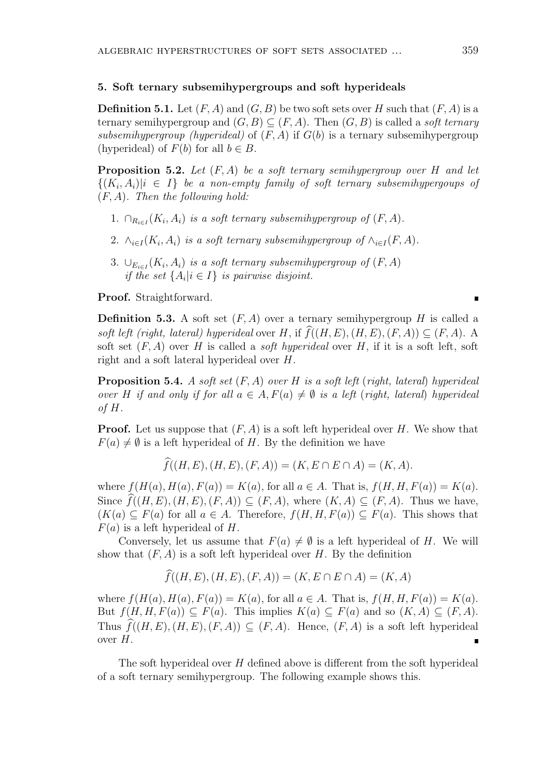#### **5. Soft ternary subsemihypergroups and soft hyperideals**

**Definition 5.1.** Let  $(F, A)$  and  $(G, B)$  be two soft sets over *H* such that  $(F, A)$  is a ternary semihypergroup and  $(G, B) \subseteq (F, A)$ . Then  $(G, B)$  is called a *soft ternary subsemihypergroup (hyperideal)* of  $(F, A)$  if  $G(b)$  is a ternary subsemihypergroup (hyperideal) of  $F(b)$  for all  $b \in B$ .

**Proposition 5.2.** *Let* (*F, A*) *be a soft ternary semihypergroup over H and let*  $\{(K_i, A_i)|i \in I\}$  *be a non-empty family of soft ternary subsemihypergoups of* (*F, A*)*. Then the following hold:*

- 1.  $\cap_{R_{i\in I}}(K_i, A_i)$  *is a soft ternary subsemihypergroup of*  $(F, A)$ *.*
- 2.  $\wedge_{i \in I} (K_i, A_i)$  *is a soft ternary subsemihypergroup of*  $\wedge_{i \in I} (F, A)$ *.*
- 3.  $\bigcup_{E_{i\in I}} (K_i, A_i)$  *is a soft ternary subsemihypergroup of*  $(F, A)$ *if the set*  $\{A_i | i \in I\}$  *is pairwise disjoint.*

**Proof.** Straightforward.

**Definition 5.3.** A soft set  $(F, A)$  over a ternary semihypergroup *H* is called a **Froof.** Straightforward.<br> **Definition 5.3.** A soft set  $(F, A)$  over a ternary semihypergroup *H* is called a soft left (right, lateral) hyperideal over *H*, if  $\hat{f}((H, E), (H, E), (F, A)) \subseteq (F, A)$ . A soft set (*F, A*) over *H* is called a *soft hyperideal* over *H*, if it is a soft left, soft right and a soft lateral hyperideal over *H*.

**Proposition 5.4.** *A soft set* (*F, A*) *over H is a soft left* (*right, lateral*) *hyperideal over H if and only if for all*  $a \in A$ ,  $F(a) \neq \emptyset$  *is a left* (*right, lateral*) *hyperideal of H.*

**Proof.** Let us suppose that (*F, A*) is a soft left hyperideal over *H*. We show that  $F(a) \neq \emptyset$  is a left hyperideal of *H*. By the definition we have *f f*((*H, E*)*,*(*H, E*)*,*(*F, A*)) = (*K, E*  $\cap$  *E*  $\cap$  *A*) = (*K, A*).

$$
f((H, E), (H, E), (F, A)) = (K, E \cap E \cap A) = (K, A).
$$

where  $f(H(a), H(a), F(a)) = K(a)$ , for all  $a \in A$ . That is,  $f(H, H, F(a)) = K(a)$ . Since  $\widehat{f}((H, E), (H, E), (F, A)) \subseteq (F, A)$ , where  $(K, A) \subseteq (F, A)$ . Thus we have,  $(K(a) ⊆ F(a)$  for all  $a ∈ A$ . Therefore,  $f(H, H, F(a)) ⊆ F(a)$ . This shows that *F*(*a*) is a left hyperideal of *H*.

Conversely, let us assume that  $F(a) \neq \emptyset$  is a left hyperideal of *H*. We will show that  $(F, A)$  is a soft left hyperideal over *H*. By the definition figure is a set of *H*.<br> *A*) is a soft left hyperideal over *H*. By the definition  $\hat{f}((H, E), (H, E), (F, A)) = (K, E \cap E \cap A) = (K, A)$ 

$$
f((H, E), (H, E), (F, A)) = (K, E \cap E \cap A) = (K, A)
$$

where  $f(H(a), H(a), F(a)) = K(a)$ , for all  $a \in A$ . That is,  $f(H, H, F(a)) = K(a)$ . But  $f(H, H, F(a)) \subseteq F(a)$ . This implies  $K(a) \subseteq F(a)$  and so  $(K, A) \subseteq (F, A)$ .  $\widehat{f}((H, E), (H, E), (F, A)) = (K, E \cap E \cap A) = (K, A)$ <br>where  $f(H(a), H(a), F(a)) = K(a)$ , for all  $a \in A$ . That is,  $f(H, H, F(a)) = K(a)$ .<br>But  $f(H, H, F(a)) \subseteq F(a)$ . This implies  $K(a) \subseteq F(a)$  and so  $(K, A) \subseteq (F, A)$ .<br>Thus  $\widehat{f}((H, E), (H, E), (F, A)) \subseteq (F, A)$ . Hence,  $(F,$ over *H*.

The soft hyperideal over *H* defined above is different from the soft hyperideal of a soft ternary semihypergroup. The following example shows this.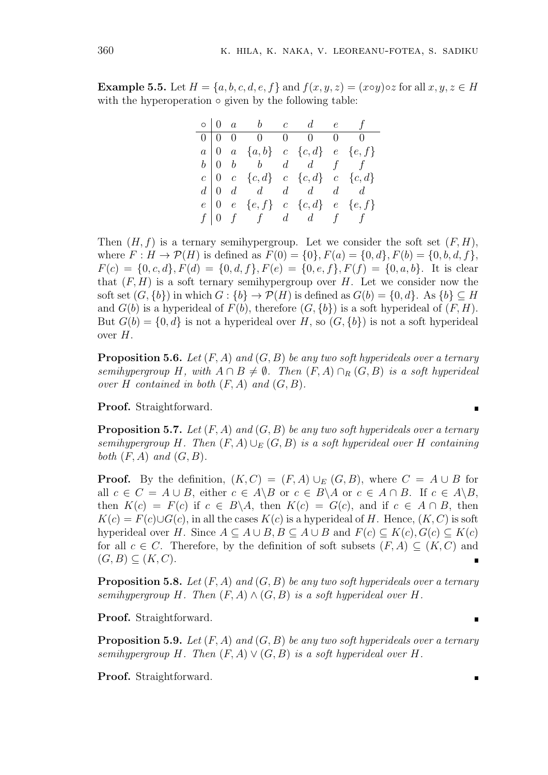**Example 5.5.** Let  $H = \{a, b, c, d, e, f\}$  and  $f(x, y, z) = (x \circ y) \circ z$  for all  $x, y, z \in H$ with the hyperoperation **◦** given by the following table:

|  | $\circ$ 0 a b c d e f                                                                                                                                                                                      |  |  |
|--|------------------------------------------------------------------------------------------------------------------------------------------------------------------------------------------------------------|--|--|
|  |                                                                                                                                                                                                            |  |  |
|  | $\begin{tabular}{ c c c c c c } \hline 0 & 0 & 0 & 0 & 0 & 0 & 0 \\ \hline $a$ & 0 & $a$ & $\{a,b\}$ & $c$ & $\{c,d\}$ & $e$ & $\{e,f\}$ \\ $b$ & 0 & $b$ & $d$ & $d$ & $f$ & $f$ \\ \hline \end{tabular}$ |  |  |
|  |                                                                                                                                                                                                            |  |  |
|  | $c \begin{bmatrix} 0 & c & \{c,d\} & c & \{c,d\} & c & \{c,d\} \end{bmatrix}$                                                                                                                              |  |  |
|  | $d \begin{bmatrix} 0 & d & d & d & d & d & d \end{bmatrix}$                                                                                                                                                |  |  |
|  | $e \begin{bmatrix} 0 & e & \{e, f\} & c & \{c, d\} & e & \{e, f\} \end{bmatrix}$                                                                                                                           |  |  |
|  | $f \mid 0 \quad f \qquad f \qquad d \qquad d \qquad f \qquad f$                                                                                                                                            |  |  |

Then  $(H, f)$  is a ternary semihypergroup. Let we consider the soft set  $(F, H)$ , where  $F: H \to \mathcal{P}(H)$  is defined as  $F(0) = \{0\}, F(a) = \{0, d\}, F(b) = \{0, b, d, f\}$ ,  $F(c) = \{0, c, d\}, F(d) = \{0, d, f\}, F(e) = \{0, e, f\}, F(f) = \{0, a, b\}.$  It is clear that  $(F, H)$  is a soft ternary semihypergroup over *H*. Let we consider now the soft set  $(G, \{b\})$  in which  $G: \{b\} \to \mathcal{P}(H)$  is defined as  $G(b) = \{0, d\}$ . As  $\{b\} \subseteq H$ and  $G(b)$  is a hyperideal of  $F(b)$ , therefore  $(G, \{b\})$  is a soft hyperideal of  $(F, H)$ . But  $G(b) = \{0, d\}$  is not a hyperideal over *H*, so  $(G, \{b\})$  is not a soft hyperideal over *H*.

**Proposition 5.6.** *Let* (*F, A*) *and* (*G, B*) *be any two soft hyperideals over a ternary semihypergroup H, with*  $A \cap B \neq \emptyset$ *. Then*  $(F, A) \cap_R (G, B)$  *is a soft hyperideal over*  $H$  *contained in both*  $(F, A)$  *and*  $(G, B)$ *.* 

**Proof.** Straightforward.

**Proposition 5.7.** *Let* (*F, A*) *and* (*G, B*) *be any two soft hyperideals over a ternary semihypergroup H.* Then  $(F, A) \cup_E (G, B)$  *is a soft hyperideal over H containing both*  $(F, A)$  *and*  $(G, B)$ *.* 

**Proof.** By the definition,  $(K, C) = (F, A) \cup_F (G, B)$ , where  $C = A \cup B$  for all  $c \in C = A \cup B$ , either  $c \in A \backslash B$  or  $c \in B \backslash A$  or  $c \in A \cap B$ . If  $c \in A \backslash B$ , then  $K(c) = F(c)$  if  $c \in B \setminus A$ , then  $K(c) = G(c)$ , and if  $c \in A \cap B$ , then  $K(c) = F(c) \cup G(c)$ , in all the cases  $K(c)$  is a hyperideal of *H*. Hence,  $(K, C)$  is soft hyperideal over *H*. Since  $A \subseteq A \cup B$ ,  $B \subseteq A \cup B$  and  $F(c) \subseteq K(c)$ ,  $G(c) \subseteq K(c)$ for all  $c \in C$ . Therefore, by the definition of soft subsets  $(F, A) \subseteq (K, C)$  and  $(G, B)$  ⊂  $(K, C)$ .  $\blacksquare$ 

**Proposition 5.8.** *Let* (*F, A*) *and* (*G, B*) *be any two soft hyperideals over a ternary semihypergroup H. Then*  $(F, A) \wedge (G, B)$  *is a soft hyperideal over H.* 

**Proof.** Straightforward.

**Proposition 5.9.** *Let* (*F, A*) *and* (*G, B*) *be any two soft hyperideals over a ternary semihypergroup H. Then*  $(F, A) \vee (G, B)$  *is a soft hyperideal over H.* 

**Proof.** Straightforward.

 $\blacksquare$ 

 $\blacksquare$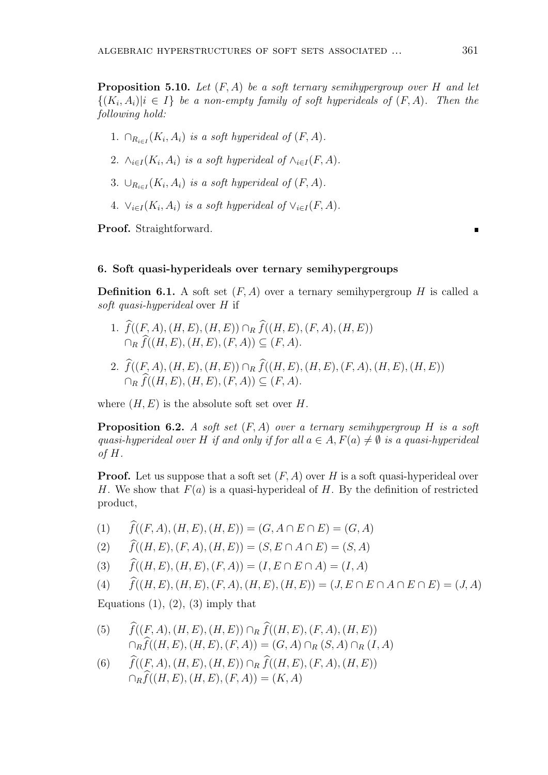**Proposition 5.10.** *Let* (*F, A*) *be a soft ternary semihypergroup over H and let*  ${(K_i, A_i)|i \in I}$  *be a non-empty family of soft hyperideals of*  $(F, A)$ *. Then the following hold:*

- 1.  $\cap_{R_{i\in I}}(K_i, A_i)$  *is a soft hyperideal of*  $(F, A)$ *.*
- 2.  $\wedge_{i \in I} (K_i, A_i)$  *is a soft hyperideal of*  $\wedge_{i \in I} (F, A)$ *.*
- 3.  $\cup_{R_{i\in I}} (K_i, A_i)$  *is a soft hyperideal of*  $(F, A)$ *.*
- 4.  $\vee_{i \in I}(K_i, A_i)$  *is a soft hyperideal of*  $\vee_{i \in I}(F, A)$ *.*

**Proof.** Straightforward.

### **6. Soft quasi-hyperideals over ternary semihypergroups**

**Definition 6.1.** A soft set  $(F, A)$  over a ternary semihypergroup *H* is called a *soft quasi-hyperideal* over *H* if 1. *f* **finition 6.1.** A soft set  $(F, A)$  over a ternary semihyperideal over  $H$  if<br>
1.  $\hat{f}((F, A), (H, E), (H, E)) \cap_R \hat{f}((H, E), (F, A), (H, E))$ 

- *n*ition 6.1. A soft set  $(F, A)$  over a the *f* (*H, E*), *H*, *E*), *(H, E*), *E*),  $\bigcap_{R} \hat{f}((H, E), (H, E), (F, A)) \subseteq (F, A)$ . 2.  $\hat{f}((F, A), (H, E), (H, E)) ∩ R \hat{f}((H, E), (F, A), (H, E))$ <br>  $\cap_R \hat{f}((H, E), (H, E), (F, A)) ⊆ (F, A).$ <br>
2.  $\hat{f}((F, A), (H, E), (H, E)) ∩ R \hat{f}((H, E), (H, E), (F, A), (H, E), (H, E))$
- $f((F, A), (H, E), (H, E)) \cap_R f((H, E),$ <br>  $\cap_R \widehat{f}((H, E), (H, E), (F, A)) \subseteq (F, A).$ <br>  $\widehat{f}((F, A), (H, E), (H, E)) \cap_R \widehat{f}((H, E),$ <br>  $\cap_R \widehat{f}((H, E), (H, E), (F, A)) \subseteq (F, A).$

where  $(H, E)$  is the absolute soft set over  $H$ .

**Proposition 6.2.** *A soft set* (*F, A*) *over a ternary semihypergroup H is a soft quasi-hyperideal over H if and only if for all*  $a \in A$ ,  $F(a) \neq \emptyset$  *is a quasi-hyperideal of H.*

**Proof.** Let us suppose that a soft set  $(F, A)$  over *H* is a soft quasi-hyperideal over *H*. We show that *F*(*a*) is a quasi-hyperideal of *H*. By the definition of restricted product, **Proof.** Let us suppose that a soft set  $(F, A)$  over  $H$  is a soft  $H$ . We show that  $F(a)$  is a quasi-hyperideal of  $H$ . By the product,<br>(1)  $\hat{f}((F, A), (H, E), (H, E)) = (G, A \cap E \cap E) = (G, A)$ (1)  $\hat{f}((F, A), (H, E), (H, E)) = (G, A \cap E \cap E) = (G, A)$ <br>
(2)  $\hat{f}((H, E), (F, A), (H, E)) = (S, E \cap A \cap E) = (S, A)$ 

- 
- 
- (1)  $\hat{f}((F, A), (H, E), (H, E)) = (G, A \cap E \cap E) = (G, A)$ <br>
(2)  $\hat{f}((H, E), (F, A), (H, E)) = (S, E \cap A \cap E) = (S, A)$ <br>
(3)  $\hat{f}((H, E), (H, E), (F, A)) = (I, E \cap E \cap A) = (I, A)$
- (4)  $\hat{f}((F, A), (H, E), (H, E)) = (G, A \cap E \cap E) = (G, A)$ <br>
(2)  $\hat{f}((H, E), (F, A), (H, E)) = (S, E \cap A \cap E) = (S, A)$ <br>
(3)  $\hat{f}((H, E), (H, E), (F, A)) = (I, E \cap E \cap A) = (I, A)$ <br>
(4)  $\hat{f}((H, E), (H, E), (F, A), (H, E), (H, E)) = (J, E \cap E \cap A \cap E \cap E) = (J, A)$

Equations  $(1)$ ,  $(2)$ ,  $(3)$  imply that

- $f((F, A), (H, E), (H, E))$   $\cap_R \hat{f}((H, E), (F, A), (H, E))$  $∩<sub>B</sub> f̂((H, E), (H, E), (F, A)) = (G, A) ∩<sub>B</sub> (S, A) ∩<sub>B</sub> (I, A)$ (5)  $\hat{f}((F, A), (H, E), (H, E)) \cap_R \hat{f}((H, E), (F, A), (H, E))$ <br>  $\cap_R \hat{f}((H, E), (H, E), (F, A)) = (G, A) \cap_R (S, A) \cap_R (I)$ <br>
(6)  $\hat{f}((F, A), (H, E), (H, E)) \cap_R \hat{f}((H, E), (F, A), (H, E))$  $\widehat{f}((F, A), (H, E), (H, E)) \cap_R \widehat{f}((H, E))$ <br>  $\cap_R \widehat{f}((H, E), (H, E), (F, A)) = (G, A)$ <br>  $\widehat{f}((F, A), (H, E), (H, E)) \cap_R \widehat{f}((H, E))$ <br>  $\cap_R \widehat{f}((H, E), (H, E), (F, A)) = (K, A)$
-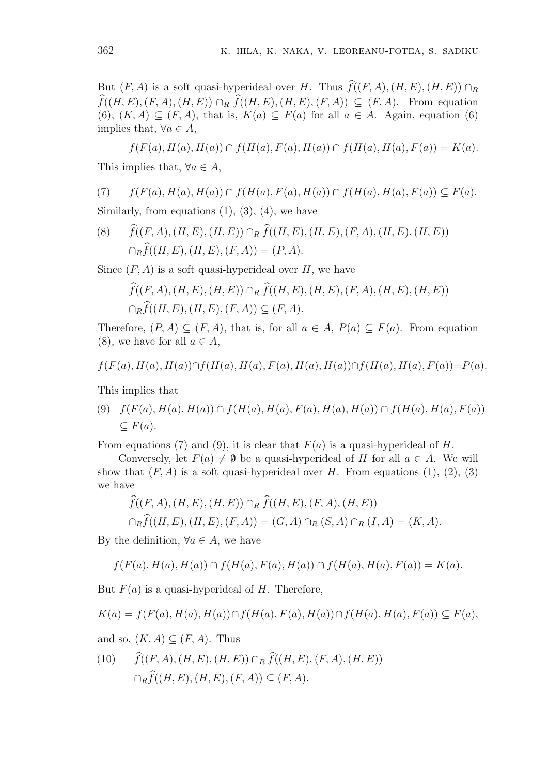But (*F, A*) is a soft quasi-hyperideal over *H*. Thus  $\hat{f}((F, A), (H, E), (H, E)) \cap_R$ *ff*((*F, A*) is a soft quasi-hyperideal over *H*. Thus  $\hat{f}((F, A), (H, E), (H, E)) \cap_R \hat{f}((H, E), (F, A), (H, E)) \cap_R \hat{f}((H, E), (H, E), (H, E), (F, A)) \subseteq (F, A)$ . From equation (6),  $(K, A) \subseteq (F, A)$ , that is,  $K(a) \subseteq F(a)$  for all  $a \in A$ . Again, equation (6) implies that,  $\forall a \in A$ ,

 $f(F(a), H(a), H(a)) \cap f(H(a), F(a), H(a)) \cap f(H(a), H(a), F(a)) = K(a).$ This implies that,  $\forall a \in A$ ,

$$
(7) \qquad f(F(a), H(a), H(a)) \cap f(H(a), F(a), H(a)) \cap f(H(a), H(a), F(a)) \subseteq F(a).
$$

Similarly, from equations  $(1)$ ,  $(3)$ ,  $(4)$ , we have

(8)  $\hat{f}((F, A), (H, E), (H, E)) \cap_R \hat{f}((H, E), (H, E), (F, A), (H, E), (H, E))$ *n*<sub>f</sub>(*R*<sub>*R*</sub> (*A*), *H*<sub>(*a*)</sub>, *H*<sub>(*a*)</sub>, *H*<sub>(*a*)</sub>, *H*<sub>(*a*)</sub>, *H*<sub>(*a*)</sub>, *H*<sub>(*a*)</sub>, *H*<sub>(*a*)</sub>, *H*<sub>(*R*)</sub>), *H*<sub>(*H*, *E*), (*H*, *E*), (*H*, *E*))  $\cap$ <sub>*R*</sub>  $\hat{f}((H, E) \cap$ <br> $\cap$ <sub>*R*</sub> $\hat{f}((H, E), (H, E), (F, A)) = (P, A)$ *f*<sub>*f*</sub>((*H, E*)*,*(*H, E*)*,*(*H, E*)*,*(*F, A*)) = (*P, A*)*.*<br>(*F, A*) is a soft quasi-hyperideal over *H*, we have  $\hat{f}((F, A), (H, E), (H, E)) \cap_R \hat{f}((H, E), (H, E), (H, E), (H, E), (H, E), (H, E)$ 

Since (*F, A*) is a soft quasi-hyperideal over *H*, we have

$$
(F, A) \text{ is a soft quasi-hyperideal over } H, \text{ we have}
$$
  

$$
\widehat{f}((F, A), (H, E), (H, E)) \cap_R \widehat{f}((H, E), (H, E), (F, A), (H, E), (H, E))
$$
  

$$
\cap_R \widehat{f}((H, E), (H, E), (F, A)) \subseteq (F, A).
$$

Therefore,  $(P, A) \subseteq (F, A)$ , that is, for all  $a \in A$ ,  $P(a) \subseteq F(a)$ . From equation (8), we have for all  $a \in A$ ,

$$
f(F(a), H(a), H(a)) \cap f(H(a), H(a), F(a), H(a), H(a)) \cap f(H(a), H(a), F(a)) = P(a).
$$

This implies that

(9)  $f(F(a), H(a), H(a)) \cap f(H(a), H(a), F(a), H(a), H(a)) \cap f(H(a), H(a), F(a))$ *⊆ F*(*a*)*.*

From equations (7) and (9), it is clear that  $F(a)$  is a quasi-hyperideal of *H*.

Conversely, let  $F(a) \neq \emptyset$  be a quasi-hyperideal of *H* for all  $a \in A$ . We will show that  $(F, A)$  is a soft quasi-hyperideal over  $H$ . From equations  $(1), (2), (3)$ we have *f*<sub>*f*</sub>(*F*) *f*<sub>*f*</sub>(*F*) *f*<sub>*f*</sub>(*A*) *f*<sub>*f*</sub>(*E*) *f*<sub>*f*</sub>(*E*) *f*<sub>*f*</sub>(*H*) *f*<sub>*f*</sub>(*H, A*) is a soft quasi-hyperideal over *H*. From  $\epsilon$  *f*<sup>6</sup>(*F, A*)*,*(*H, E*)*,*(*H, E*))  $\cap$ <sub>*R*</sub>  $\hat{f}((H, E), (F, A), (H, E))$ 

that 
$$
(F, A)
$$
 is a soft quasi-hyperideal over  $H$ . From equations (1),  
we  

$$
\widehat{f}((F, A), (H, E), (H, E)) \cap_R \widehat{f}((H, E), (F, A), (H, E))
$$

$$
\cap_R \widehat{f}((H, E), (H, E), (F, A)) = (G, A) \cap_R (S, A) \cap_R (I, A) = (K, A).
$$

By the definition,  $\forall a \in A$ , we have

$$
f(F(a), H(a), H(a)) \cap f(H(a), F(a), H(a)) \cap f(H(a), H(a), F(a)) = K(a).
$$

But  $F(a)$  is a quasi-hyperideal of *H*. Therefore,

$$
K(a) = f(F(a), H(a), H(a)) \cap f(H(a), F(a), H(a)) \cap f(H(a), H(a), F(a)) \subseteq F(a),
$$

and so,  $(K, A) \subseteq (F, A)$ . Thus

 $K(a) = f(F(a), H(a), H(a)) \cap f(H(a), F(a), H(a)) \cap f(H(a),$ <br>and so,  $(K, A) \subseteq (F, A)$ . Thus<br>(10)  $\hat{f}((F, A), (H, E), (H, E)) \cap_R \hat{f}((H, E), (F, A), (H, E))$  $f((F, A) \subseteq (F, A)$ . Thus<br> $\hat{f}((F, A), (H, E), (H, E)) \cap_R \hat{f}((H, E))$ <br> $\cap_R \hat{f}((H, E), (H, E), (F, A)) \subseteq (F, A)$ .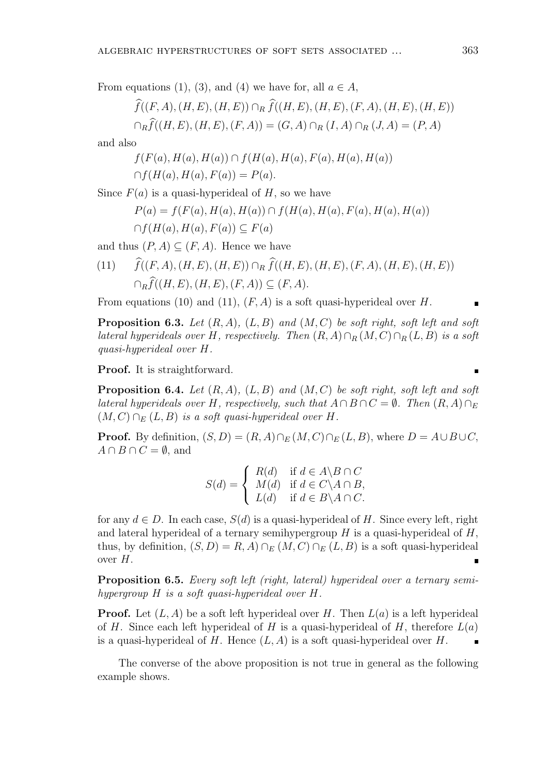From equations (1), (3), and (4) we have for, all  $a \in A$ ,

QALAIC HYPERSIROCIORES OF SOF 1 SEIS ASSOCIATED ...

\nEquations (1), (3), and (4) we have for, all 
$$
a \in A
$$
,

\n
$$
\widehat{f}((F, A), (H, E), (H, E)) \cap_R \widehat{f}((H, E), (H, E), (F, A), (H, E), (H, E))
$$
\n
$$
\cap_R \widehat{f}((H, E), (H, E), (F, A)) = (G, A) \cap_R (I, A) \cap_R (J, A) = (P, A)
$$

and also

$$
f(F(a), H(a), H(a)) \cap f(H(a), H(a), F(a), H(a), H(a))
$$
  
 
$$
\cap f(H(a), H(a), F(a)) = P(a).
$$

Since  $F(a)$  is a quasi-hyperideal of  $H$ , so we have

$$
P(a) = f(F(a), H(a), H(a)) \cap f(H(a), H(a), F(a), H(a), H(a))
$$
  
 
$$
\cap f(H(a), H(a), F(a)) \subseteq F(a)
$$

and thus  $(P, A) \subseteq (F, A)$ . Hence we have

(11)  $\hat{f}((F, A), (H, E), (H, E)) ∩ R \hat{f}((H, E), (H, E), (F, A), (H, E), (H, E))$  $∩$ *R* $f$ (*H, E*)*,*(*H, E*)*,*(*F, A*))  $\subseteq$  (*F, A*)*.* 

From equations (10) and (11), (*F, A*) is a soft quasi-hyperideal over *H*.

**Proposition 6.3.** *Let* (*R, A*)*,* (*L, B*) *and* (*M, C*) *be soft right, soft left and soft lateral hyperideals over H, respectively. Then*  $(R, A) \cap_R (M, C) \cap_R (L, B)$  *is a soft quasi-hyperideal over H.*

**Proof.** It is straightforward.

**Proposition 6.4.** *Let* (*R, A*)*,* (*L, B*) *and* (*M, C*) *be soft right, soft left and soft lateral hyperideals over H*, respectively, such that  $A \cap B \cap C = \emptyset$ . Then  $(R, A) \cap_E$  $(M, C)$   $\cap$ *E*  $(L, B)$  *is a soft quasi-hyperideal over H.*  $\overline{\phantom{a}}$ 

**Proof.** By definition,  $(S, D) = (R, A) \cap_E (M, C) \cap_E (L, B)$ , where  $D = A \cup B \cup C$ ,  $A \cap B \cap C$ ,  $\emptyset$  and  $A \cap B \cap C = \emptyset$ , and

$$
S(d) = \begin{cases} R(d) & \text{if } d \in A \backslash B \cap C \\ M(d) & \text{if } d \in C \backslash A \cap B, \\ L(d) & \text{if } d \in B \backslash A \cap C. \end{cases}
$$

for any  $d \in D$ . In each case,  $S(d)$  is a quasi-hyperideal of *H*. Since every left, right and lateral hyperideal of a ternary semihypergroup *H* is a quasi-hyperideal of *H*, thus, by definition,  $(S, D) = R$ , A $) \cap_E (M, C) \cap_E (L, B)$  is a soft quasi-hyperideal over *H*.

**Proposition 6.5.** *Every soft left (right, lateral) hyperideal over a ternary semihypergroup H is a soft quasi-hyperideal over H.*

**Proof.** Let  $(L, A)$  be a soft left hyperideal over *H*. Then  $L(a)$  is a left hyperideal of *H*. Since each left hyperideal of *H* is a quasi-hyperideal of *H*, therefore  $L(a)$ is a quasi-hyperideal of *H*. Hence  $(L, A)$  is a soft quasi-hyperideal over *H*.

The converse of the above proposition is not true in general as the following example shows.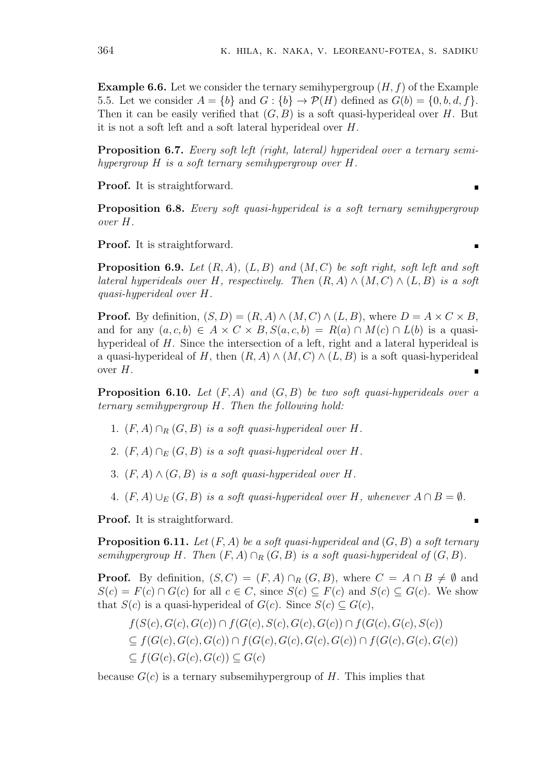**Example 6.6.** Let we consider the ternary semihypergroup (*H, f*) of the Example 5.5. Let we consider  $A = \{b\}$  and  $G : \{b\} \rightarrow \mathcal{P}(H)$  defined as  $G(b) = \{0, b, d, f\}$ . Then it can be easily verified that  $(G, B)$  is a soft quasi-hyperideal over *H*. But it is not a soft left and a soft lateral hyperideal over *H*.

**Proposition 6.7.** *Every soft left (right, lateral) hyperideal over a ternary semihypergroup H is a soft ternary semihypergroup over H.*

**Proof.** It is straightforward.

**Proposition 6.8.** *Every soft quasi-hyperideal is a soft ternary semihypergroup over H.*

**Proof.** It is straightforward.

**Proposition 6.9.** *Let* (*R, A*)*,* (*L, B*) *and* (*M, C*) *be soft right, soft left and soft lateral hyperideals over H*, respectively. Then  $(R, A) \wedge (M, C) \wedge (L, B)$  *is a soft quasi-hyperideal over H.*

**Proof.** By definition,  $(S, D) = (R, A) \wedge (M, C) \wedge (L, B)$ , where  $D = A \times C \times B$ , and for any  $(a, c, b) \in A \times C \times B$ ,  $S(a, c, b) = R(a) \cap M(c) \cap L(b)$  is a quasihyperideal of *H*. Since the intersection of a left, right and a lateral hyperideal is a quasi-hyperideal of *H*, then  $(R, A) \wedge (M, C) \wedge (L, B)$  is a soft quasi-hyperideal over *H*.

**Proposition 6.10.** *Let* (*F, A*) *and* (*G, B*) *be two soft quasi-hyperideals over a ternary semihypergroup H. Then the following hold:*

- 1.  $(F, A) \cap_R (G, B)$  *is a soft quasi-hyperideal over H*.
- 2.  $(F, A) \cap_E (G, B)$  *is a soft quasi-hyperideal over H.*
- 3.  $(F, A) \wedge (G, B)$  *is a soft quasi-hyperideal over H*.
- 4.  $(F, A) \cup_F (G, B)$  *is a soft quasi-hyperideal over*  $H$ *, whenever*  $A ∩ B = ∅$ *.*

**Proof.** It is straightforward.

**Proposition 6.11.** *Let* (*F, A*) *be a soft quasi-hyperideal and* (*G, B*) *a soft ternary semihypergroup H.* Then  $(F, A) \cap_R (G, B)$  *is a soft quasi-hyperideal of*  $(G, B)$ *.* 

**Proof.** By definition,  $(S, C) = (F, A) \cap_R (G, B)$ , where  $C = A \cap B \neq \emptyset$  and  $S(c) = F(c) \cap G(c)$  for all  $c \in C$ , since  $S(c) \subseteq F(c)$  and  $S(c) \subseteq G(c)$ . We show that  $S(c)$  is a quasi-hyperideal of  $G(c)$ . Since  $S(c) \subset G(c)$ ,

$$
f(S(c), G(c), G(c)) \cap f(G(c), S(c), G(c), G(c)) \cap f(G(c), G(c), S(c))
$$
  
\n
$$
\subseteq f(G(c), G(c), G(c)) \cap f(G(c), G(c), G(c), G(c)) \cap f(G(c), G(c), G(c))
$$
  
\n
$$
\subseteq f(G(c), G(c), G(c)) \subseteq G(c)
$$

because  $G(c)$  is a ternary subseminary pergroup of *H*. This implies that

 $\blacksquare$ 

F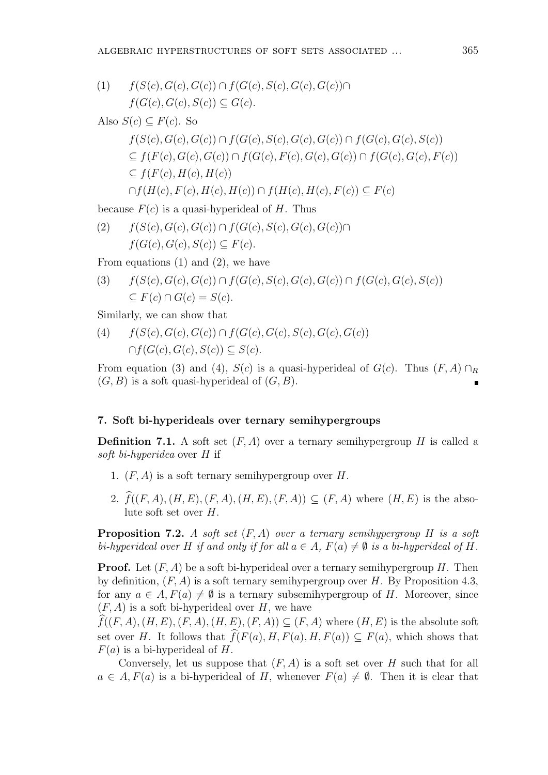(1) *f*(*S*(*c*)*, G*(*c*)*, G*(*c*)) *∩ f*(*G*(*c*)*, S*(*c*)*, G*(*c*)*, G*(*c*))*∩*  $f(G(c), G(c), S(c)) \subseteq G(c)$ .

Also 
$$
S(c) \subseteq F(c)
$$
. So

$$
f(S(c), G(c), G(c)) \cap f(G(c), S(c), G(c), G(c)) \cap f(G(c), G(c), S(c))
$$
  
\n
$$
\subseteq f(F(c), G(c), G(c)) \cap f(G(c), F(c), G(c), G(c)) \cap f(G(c), G(c), F(c))
$$
  
\n
$$
\subseteq f(F(c), H(c), H(c))
$$
  
\n
$$
\cap f(H(c), F(c), H(c), H(c)) \cap f(H(c), H(c), F(c)) \subseteq F(c)
$$

because  $F(c)$  is a quasi-hyperideal of *H*. Thus

(2) *f*(*S*(*c*)*, G*(*c*)*, G*(*c*)) *∩ f*(*G*(*c*)*, S*(*c*)*, G*(*c*)*, G*(*c*))*∩*  $f(G(c), G(c), S(c)) \subseteq F(c)$ .

From equations  $(1)$  and  $(2)$ , we have

(3) 
$$
f(S(c), G(c), G(c)) \cap f(G(c), S(c), G(c), G(c)) \cap f(G(c), G(c), S(c))
$$
  
\n $\subseteq F(c) \cap G(c) = S(c).$ 

Similarly, we can show that

(4) *f*(*S*(*c*)*, G*(*c*)*, G*(*c*)) *∩ f*(*G*(*c*)*, G*(*c*)*, S*(*c*)*, G*(*c*)*, G*(*c*))  $∩f(G(c), G(c), S(c)) \subseteq S(c)$ .

From equation (3) and (4),  $S(c)$  is a quasi-hyperideal of  $G(c)$ . Thus  $(F, A) \cap_R$  $(G, B)$  is a soft quasi-hyperideal of  $(G, B)$ .

## **7. Soft bi-hyperideals over ternary semihypergroups**

**Definition 7.1.** A soft set  $(F, A)$  over a ternary semihypergroup *H* is called a *soft bi-hyperidea* over *H* if

- 1. (*F, A*) is a soft ternary semihypergroup over *H*.
- 2.  $\hat{f}((F, A), (H, E), (F, A), (H, E), (F, A)) \subseteq (F, A)$  where  $(H, E)$  is the absolute soft set over *H*.

**Proposition 7.2.** *A soft set*  $(F, A)$  *over a ternary semihypergroup H is a soft bi-hyperideal over H if and only if for all*  $a \in A$ *,*  $F(a) \neq \emptyset$  *is a bi-hyperideal of H.* 

**Proof.** Let (*F, A*) be a soft bi-hyperideal over a ternary semihypergroup *H*. Then by definition,  $(F, A)$  is a soft ternary semihypergroup over *H*. By Proposition 4.3, for any  $a \in A$ ,  $F(a) \neq \emptyset$  is a ternary subsemihypergroup of *H*. Moreover, since (*F, A*) is a soft bi-hyperideal over *H*, we have

 $\widehat{f}((F, A), (H, E), (F, A), (H, E), (F, A)) \subseteq (F, A)$  where  $(H, E)$  is the absolute soft set over *H*. It follows that  $\hat{f}(F(a), H, F(a), H, F(a)) \subseteq F(a)$ , which shows that *F*(*a*) is a bi-hyperideal of *H*.

Conversely, let us suppose that (*F, A*) is a soft set over *H* such that for all  $a \in A$ ,  $F(a)$  is a bi-hyperideal of *H*, whenever  $F(a) \neq \emptyset$ . Then it is clear that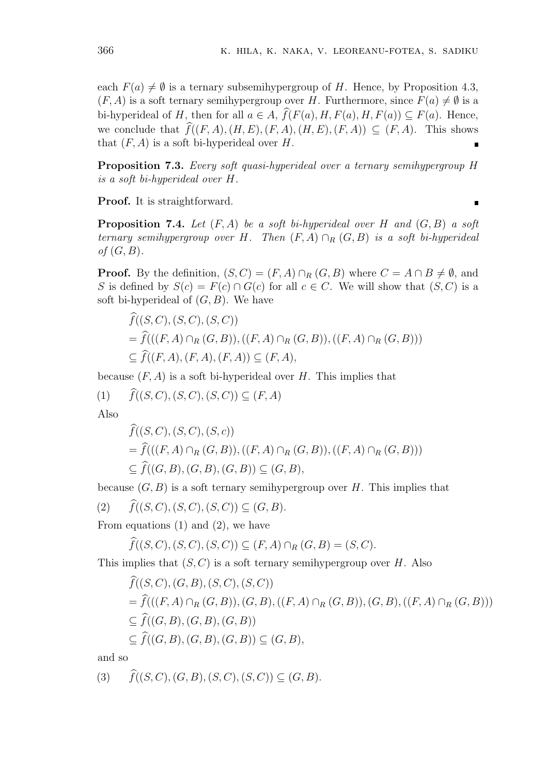each  $F(a) \neq \emptyset$  is a ternary subsemihypergroup of *H*. Hence, by Proposition 4.3,  $(F, A)$  is a soft ternary semihypergroup over *H*. Furthermore, since  $F(a) \neq \emptyset$  is a bi-hyperideal of *H*, then for all  $a \in A$ ,  $\widehat{f}(F(a), H, F(a), H, F(a)) \subseteq F(a)$ . Hence, we conclude that  $\widehat{f}((F, A), (H, E), (F, A), (H, E), (F, A)) \subseteq (F, A)$ . This shows that  $(F, A)$  is a soft bi-hyperideal over  $H$ .

**Proposition 7.3.** *Every soft quasi-hyperideal over a ternary semihypergroup H is a soft bi-hyperideal over H.*

**Proof.** It is straightforward.

 $\blacksquare$ 

**Proposition 7.4.** Let  $(F, A)$  be a soft bi-hyperideal over H and  $(G, B)$  a soft *ternary semihypergroup over H. Then* (*F, A*) *∩<sup>R</sup>* (*G, B*) *is a soft bi-hyperideal of* (*G, B*)*.*

**Proof.** By the definition,  $(S, C) = (F, A) \cap_R (G, B)$  where  $C = A \cap B \neq \emptyset$ , and <br> S is defined by  $S(c) = F(c) \cap G(c)$  for all  $c \in C$ . We will show that  $(S, C)$  is a soft bi-hyperideal of  $(G, B)$ . We have  $\widehat{f}((S, C), (S, C), (S, C))$ soft bi-hyperideal of  $(G, B)$ . We have

S is defined by 
$$
S(c) = F(c) \cap G(c)
$$
 for all  $c \in C$ . We will show that  $(S, C)$  is a  
soft bi-hyperideal of  $(G, B)$ . We have  

$$
\widehat{f}((S, C), (S, C), (S, C))
$$

$$
= \widehat{f}(((F, A) \cap_R (G, B)), ((F, A) \cap_R (G, B)), ((F, A) \cap_R (G, B)))
$$

$$
\subseteq \widehat{f}((F, A), (F, A), (F, A)) \subseteq (F, A),
$$
because  $(F, A)$  is a soft bi-hyperideal over H. This implies that  
(1)  $\widehat{f}((S, C), (S, C), (S, C)) \subseteq (F, A)$ 

because  $(F, A)$  is a soft bi-hyperideal over  $H$ . This implies that

 $\widehat{f}((S, C), (S, C), (S, C))$ <br> $\widehat{f}((S, C), (S, C), (S, C))$ 

Also

$$
f((S, C), (S, C), (S, C)) \subseteq (F, A)
$$
  

$$
\widehat{f}((S, C), (S, C), (S, c))
$$
  

$$
= \widehat{f}(((F, A) \cap_R (G, B)), ((F, A) \cap_R (G, B)), ((F, A) \cap_R (G, B)))
$$
  

$$
\subseteq \widehat{f}((G, B), (G, B), (G, B)) \subseteq (G, B),
$$

because  $(G, B)$  is a soft ternary semihypergroup over *H*. This implies that

(2)  $\hat{f}((S, C), (S, C), (S, C)) \subseteq (G, B).$ 

From equations  $(1)$  and  $(2)$ , we have

*f* $(f(S, C), (S, C), (S, C)) \subseteq (G, B)$ .<br> *f* $(f(S, C), (S, C), (S, C)) \subseteq (F, A) \cap_R (G, B) = (S, C)$ .

This implies that (*S, C*) is a soft ternary semihypergroup over *H*. Also

From equations (1) and (2), we have  
\n
$$
\widehat{f}((S, C), (S, C), (S, C)) \subseteq (F, A) \cap_R (G, B) = (S, C).
$$
\nThis implies that  $(S, C)$  is a soft ternary semihypergroup over H. Also  
\n
$$
\widehat{f}((S, C), (G, B), (S, C), (S, C))
$$
\n
$$
= \widehat{f}(((F, A) \cap_R (G, B)), (G, B), ((F, A) \cap_R (G, B)), (G, B), ((F, A) \cap_R (G, B)))
$$
\n
$$
\subseteq \widehat{f}((G, B), (G, B), (G, B))
$$
\n
$$
\subseteq \widehat{f}((G, B), (G, B), (G, B)) \subseteq (G, B),
$$
\nand so  
\n(3) 
$$
\widehat{f}((S, C), (G, B), (S, C), (S, C)) \subseteq (G, B).
$$

and so

$$
(3) \quad \widehat{f}((S, C), (G, B), (S, C), (S, C)) \subseteq (G, B).
$$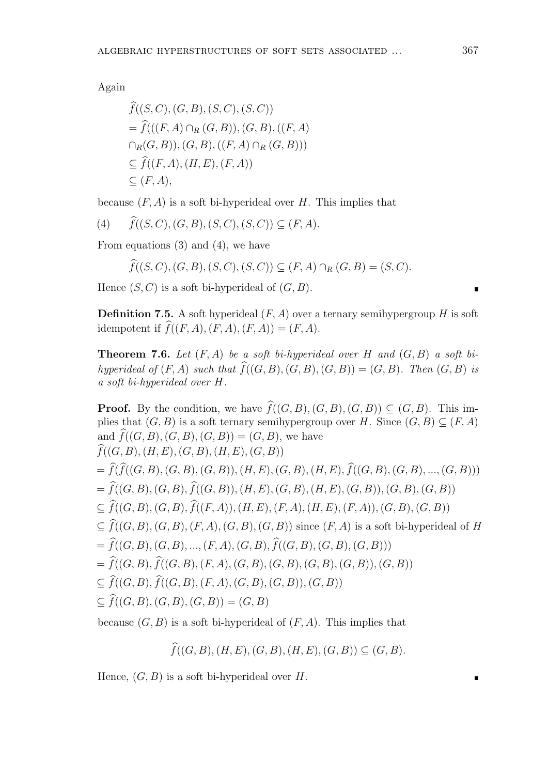Again

Again  
\n
$$
\widehat{f}((S, C), (G, B), (S, C), (S, C))
$$
\n
$$
= \widehat{f}(((F, A) \cap_R (G, B)), (G, B), ((F, A) \cap_R (G, B)), (G, B), ((F, A) \cap_R (G, B)))
$$
\n
$$
\subseteq \widehat{f}((F, A), (H, E), (F, A))
$$
\n
$$
\subseteq (F, A),
$$
\nbecause  $(F, A)$  is a soft bi-hyperideal over  $H$ .  
\n(4)  $\widehat{f}((S, C), (G, B), (S, C), (S, C)) \subseteq (F, A).$ 

because (*F, A*) is a soft bi-hyperideal over *H*. This implies that

$$
(4) \qquad f((S,C),(G,B),(S,C),(S,C)) \subseteq (F,A).
$$

From equations (3) and (4), we have

$$
\widehat{f}((S, C), (G, B), (S, C), (S, C)) \subseteq (F, A).
$$
  
equations (3) and (4), we have  
 $\widehat{f}((S, C), (G, B), (S, C), (S, C)) \subseteq (F, A) \cap_R (G, B) = (S, C).$ 

Hence (*S, C*) is a soft bi-hyperideal of (*G, B*).

**Definition 7.5.** A soft hyperideal  $(F, A)$  over a ternary semihypergroup *H* is soft idempotent if  $\widehat{f}((F, A), (F, A), (F, A)) = (F, A)$ .

**Theorem 7.6.** *Let* (*F, A*) *be a soft bi-hyperideal over H and* (*G, B*) *a soft bihyperideal of*  $(F, A)$  *such that*  $\widehat{f}((G, B), (G, B), (G, B)) = (G, B)$ *. Then*  $(G, B)$  *is a soft bi-hyperideal over H.* **Proof.** By the condition, we have  $\hat{f}((G, B), (G, B), (G, B)) \subseteq (G, B)$ . Then  $(G, B)$  is a soft bi-hyperideal over H.<br> **Proof.** By the condition, we have  $\hat{f}((G, B), (G, B), (G, B)) \subseteq (G, B)$ . This im-

plies that  $(G, B)$  is a soft ternary semihypergroup over *H*. Since  $(G, B) \subseteq (F, A)$ a soft bi-hyperideal over  $H$ .<br> **Proof.** By the condition, we have  $\widehat{f}((G, B), (G)$  plies that  $(G, B)$  is a soft ternary semihypergrous and  $\widehat{f}((G, B), (G, B), (G, B)) = (G, B)$ , we have and  $\widehat{f}((G, B), (G, B), (G, B)) = (G, B)$ , we have  $\widehat{f}((G, B), (H, E), (G, B), (H, E), (G, B))$  $= \hat{f}(\hat{f}((G, B), (G, B), (G, B)), (H, E), (G, B), (H, E), \hat{f}((G, B), (G, B), ..., (G, B)))$ and  $f((G, B), (G, B), (G, B)) = (G, B)$ , we have<br>  $\widehat{f}((G, B), (H, E), (G, B), (H, E), (G, B))$ <br>  $= \widehat{f}(\widehat{f}((G, B), (G, B), (G, B)), (H, E), (G, B), (H, E), \widehat{f}((G, B), (G, B), ..., (G, B))$ <br>  $= \widehat{f}((G, B), (G, B), \widehat{f}((G, B)), (H, E), (G, B), (H, E), (G, B)), (G, B), (G, B))$  $f((G, D), (H, E), (G, D), (H, E), (G, D))$ <br>  $= \widehat{f}(\widehat{f}((G, B), (G, B), (G, B)), (H, E), (G, B), (H, E), \widehat{f}((G, B), (G, B), ..., (G, B))$ <br>  $\subseteq \widehat{f}((G, B), (G, B), \widehat{f}((F, A)), (H, E), (F, A), (H, E), (F, A)), (G, B), (G, B))$  $\subseteq \widehat{f}((G, B), (G, B), \widehat{f}((F, A)), (H, E), (F, A), (H, E), (F, A)), (G, B), (G, B))$ <br> $\subseteq \widehat{f}((G, B), (G, B), (F, A), (G, B), (G, B))$  since  $(F, A)$  is a soft bi-hyperideal of *H*  $=\widehat{f}((G, B), (G, B), ..., (F, A), (G, B), \widehat{f}((G, B), (G, B), (G, B)))$  $=\widehat{f}((G, B), \widehat{f}((G, B), (F, A), (G, B), (G, B), (G, B), (G, B)), (G, B))$  $\subseteq$  *f*((*G, B*)*,* (*G, B*)*,* ..., (*F, A*)*,* (*G, B*)*,*  $\hat{f}((G, B), (G, B))$ <br>  $= \hat{f}((G, B), \hat{f}((G, B), (F, A), (G, B), \hat{f}((G, B), (G, B), (G, B))$ <br>  $\subseteq \hat{f}((G, B), \hat{f}((G, B), (F, A), (G, B), (G, B)), (G, B))$  $= f((G, B), f((G, B), ..., (F, A), (G, B))$ <br>  $= \hat{f}((G, B), \hat{f}((G, B), (F, A), (G, B))$ <br>  $\subseteq \hat{f}((G, B), f((G, B), (F, A), (G, B))$ <br>  $\subseteq \hat{f}((G, B), (G, B), (G, B)) = (G, B)$ *f***f**((*G, B*)) = (*G, B*)<br>is a soft bi-hyperideal of (*F, A*). This implies that<br> $\hat{f}((G, B), (H, E), (G, B), (H, E), (G, B)) \subseteq (G, B)$ .

because (*G, B*) is a soft bi-hyperideal of (*F, A*). This implies that

$$
\widehat{f}((G,B),(H,E),(G,B),(H,E),(G,B)) \subseteq (G,B).
$$

Hence, (*G, B*) is a soft bi-hyperideal over *H*.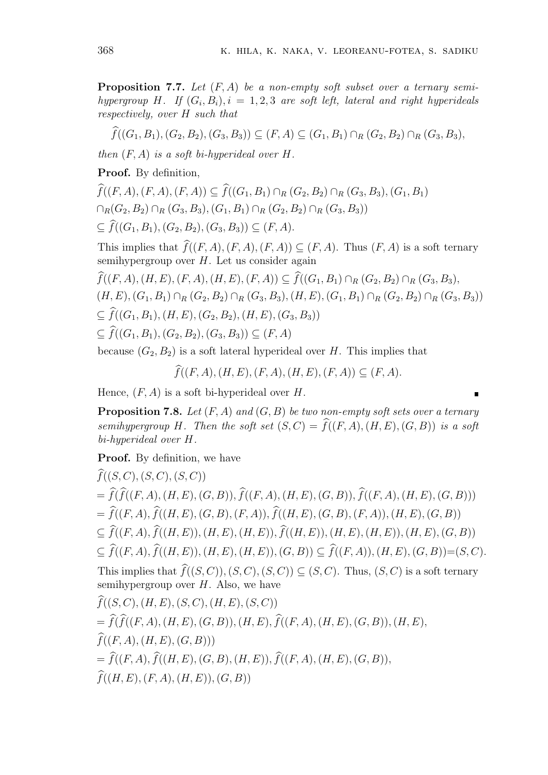**Proposition 7.7.** Let  $(F, A)$  be a non-empty soft subset over a ternary semi-<br>hypergroup H. If  $(G_i, B_i)$ ,  $i = 1, 2, 3$  are soft left, lateral and right hyperideals<br>respectively, over H such that<br> $\widehat{f}((G_1, B_1), (G_2, B_2), (G$ *hypergroup H. If*  $(G_i, B_i)$ *,*  $i = 1, 2, 3$  *are soft left, lateral and right hyperideals respectively, over H such that*

$$
\widehat{f}((G_1, B_1), (G_2, B_2), (G_3, B_3)) \subseteq (F, A) \subseteq (G_1, B_1) \cap_R (G_2, B_2) \cap_R (G_3, B_3),
$$

*then* (*F, A*) *is a soft bi-hyperideal over H.*

**Proof.** By definition,

*f*((*F, A*)*,*(*F, A*)*,*(*F, A*))  $\subset \hat{f}((G_1, B_1) \cap_R (G_2, B_2) \cap_R (G_3, B_3), (G_1, B_1)$  $∩$ <sup>*R*</sup>( $G_2$ ,  $B_2) ∩$ <sup>*R*</sup>( $G_3$ ,  $B_3$ )*,*( $G_1$ ,  $B_1) ∩$ <sup>*R*</sup>( $G_2$ ,  $B_2) ∩$ <sup>*R*</sup>( $G_3$ ,  $B_3$ ))  $\subseteq \widehat{f}((G_1, B_1), (G_2, B_2), (G_3, B_3)) \subseteq (F, A).$  $T_1((F, A), (F, A), (F, A)) \subseteq f((G_1, B_1) \cap_R (G_2, B_2) \cap_R (G_3, B_3), (G_1, B_1) \cap_R (G_2, B_2) \cap_R (G_3, B_3))$ <br>  $\subseteq \widehat{f}((G_1, B_1), (G_2, B_2), (G_3, B_3)) \subseteq (F, A).$ <br>
This implies that  $\widehat{f}((F, A), (F, A), (F, A)) \subseteq (F, A).$  Thus  $(F, A)$  is a soft ternary

semihypergroup over *H*. Let us consider again  $\subseteq$   $f((G_1, B_1), (G_2, B_2), (G_3, B_3)) \subseteq (F, A).$ <br>This implies that  $\widehat{f}((F, A), (F, A), (F, A)) \subseteq (F, A)$ . Thus  $(F, A)$  is a soft term<br>semihypergroup over  $H$ . Let us consider again<br> $\widehat{f}((F, A), (H, E), (F, A), (H, E), (F, A)) \subseteq \widehat{f}((G_1, B_1) \cap_R (G$ 

 $(H, E), (G_1, B_1) \cap_R (G_2, B_2) \cap_R (G_3, B_3), (H, E), (G_1, B_1) \cap_R (G_2, B_2) \cap_R (G_3, B_3))$ *semihypergroup over H.* Let us consider again  $\hat{f}((F, A), (H, E), (F, A), (H, E), (F, A)) \subseteq \hat{f}((G_1, (H, E), (G_1, B_1) \cap_R (G_2, B_2) \cap_R (G_3, B_3), (H, E) \subseteq \hat{f}((G_1, B_1), (H, E), (G_2, B_2), (H, E), (G_3, B_3))$  $f((F, A), (H, E), (F, A), (H, E), (F, A)) \subseteq$ <br>  $(H, E), (G_1, B_1) \cap_R (G_2, B_2) \cap_R (G_3, B_3),$ <br>  $\subseteq \widehat{f}((G_1, B_1), (H, E), (G_2, B_2), (H, E), (G_3, A_3)) \subseteq (F, A)$  $\subseteq \widehat{f}((G_1, B_1), (H, E), (G_2, B_2), (H, E), (G_3, B_3))$ <br>  $\subseteq \widehat{f}((G_1, B_1), (G_2, B_2), (G_3, B_3)) \subseteq (F, A)$ <br>
because  $(G_2, B_2)$  is a soft lateral hyperideal over *H*. This implies<br>  $\widehat{f}((F, A), (H, E), (F, A), (H, E), (F, A)) \subseteq (F, A)$ .

because  $(G_2, B_2)$  is a soft lateral hyperideal over *H*. This implies that

Hence, (*F, A*) is a soft bi-hyperideal over *H*.

**Proposition 7.8.** *Let* (*F, A*) *and* (*G, B*) *be two non-empty soft sets over a ternary f*((*F, A*)*,*(*H, E*)*,*(*F, A*)*,*(*H, E*)*,*(*F, A*))  $\subseteq$  (*F, A*)*.*<br> **e**<br> **Proposition 7.8.** Let (*F, A*) and (*G, B*) be two non-empty soft sets over a ternary<br> *semihypergroup H*. Then the soft set (*S, C*) = *bi-hyperideal over H. semihypergroup H*. Then the soft set  $(S, C) = \hat{f}((F, A), (H, E), (G, B))$  is a soft bi-hyperideal over *H*.<br>**Proof.** By definition, we have  $\hat{f}((S, C), (S, C), (S, C))$ 

**Proof.** By definition, we have

**Proof.** By definition, we have<br>  $\hat{f}((S, C), (S, C), (S, C))$ <br>  $= \hat{f}(\hat{f}((F, A), (H, E), (G, B)), \hat{f}((F, A), (H, E), (G, B)), \hat{f}((F, A), (H, E), (G, B)))$  $\hat{f}((S, C), (S, C), (S, C))$ <br>  $= \hat{f}(\hat{f}((F, A), (H, E), (G, B)), \hat{f}((F, A), (H, E), (G, B)), \hat{f}((F, A), (H, E), (G, E))$ <br>  $= \hat{f}((F, A), \hat{f}((H, E), (G, B), (F, A)), \hat{f}((H, E), (G, B), (F, A)), (H, E), (G, B))$  $f((S, C), (S, C), (S, C))$ <br>  $= \widehat{f}(\widehat{f}((F, A), (H, E), (G, B)), \widehat{f}((F, A), (H, E), (G, B)), \widehat{f}((F, A), (H, E), (G, B)))$ <br>  $= \widehat{f}((F, A), \widehat{f}((H, E), (G, B), (F, A)), \widehat{f}((H, E), (G, B), (F, A)), (H, E), (G, B))$ <br>  $\subseteq \widehat{f}((F, A), \widehat{f}((H, E)), (H, E), (H, E)), \widehat{f}((H, E)), (H, E), (H, E)), (H,$ =  $f(f((F,A),(H,E),(G,B)),f((F,A),(H,E),(G,B)),f((F,A),(H,E),(G,B)))$ <br>
=  $\hat{f}((F,A), \hat{f}((H,E),(G,B),(F,A)), \hat{f}((H,E),(G,B),(F,A)),(H,E),(G,B))$ <br>  $\subseteq \hat{f}((F,A), \hat{f}((H,E)),(H,E),(H,E)), \hat{f}((H,E)),(H,E),(H,E)),(H,E),(G,B))$ <br>  $\subseteq \hat{f}((F,A), \hat{f}((H,E)),(H,E),(H,E)),(G,B)) \subseteq \hat{f}((F,A)),(H,E),(G,B)) = (S,C).$  $T = f((F, A), f((H, E), (G, D), (F, A)), f((H, E), (G, D), (F, A)), (H, E), (G, D))$ <br>  $\subseteq \widehat{f}((F, A), \widehat{f}((H, E)), (H, E), (H, E)), (G, B)) \subseteq \widehat{f}((F, A)), (H, E), (G, B)) = (S, C$ <br>
This implies that  $\widehat{f}((S, C)), (S, C), (S, C)) \subseteq (S, C)$ . Thus,  $(S, C)$  is a soft ternary semihypergroup over *H*. Also, we have  $\subseteq \widehat{f}((F, A), \widehat{f}((H, E)), (H, E), (H, E)), (G, B)) \subseteq \widehat{f}((F, A)), (H, E), (G, B)) = (S, C).$ <br>This implies that  $\widehat{f}((S, C)), (S, C), (S, C)) \subseteq (S, C)$ . Thus,  $(S, C)$  is a soft ternary<br>semihypergroup over *H*. Also, we have<br> $\widehat{f}((S, C), (H, E), (S, C), (H, E), (S,$ This implies that  $\hat{f}((S, C)), (S, C), (S, C)) \subseteq (S, C)$ . Thus,  $(S, C)$  is a s<br>semihypergroup over *H*. Also, we have<br> $\hat{f}((S, C), (H, E), (S, C), (H, E), (S, C))$ <br>=  $\hat{f}(\hat{f}((F, A), (H, E), (G, B)), (H, E), \hat{f}((F, A), (H, E), (G, B)), (H, E),$ *f*((*S, C*)*,*(*H, E*)*,*(*S, C*)*,*(<br> *f*((*F, A*)*,*(*H, E*)*,*(*G,*<br> *f*((*F, A*)*,*(*H, E*)*,*(*G, B*)))  $f((S, C), (H, E), (S, C), (H, E), (S, C))$ <br>  $= \widehat{f}(\widehat{f}((F, A), (H, E), (G, B)), (H, E), \widehat{f}((F, A), (H, E), (G, B)),$ <br>  $\widehat{f}((F, A), \widehat{f}((H, E), (G, B), (H, E)), \widehat{f}((F, A), (H, E), (G, B)),$ *f*b((*H, E*)*,*(*F, A*)*,*(*H, E*))*,*(*G, B*))

$$
\mathcal{L}^{\mathcal{A}}
$$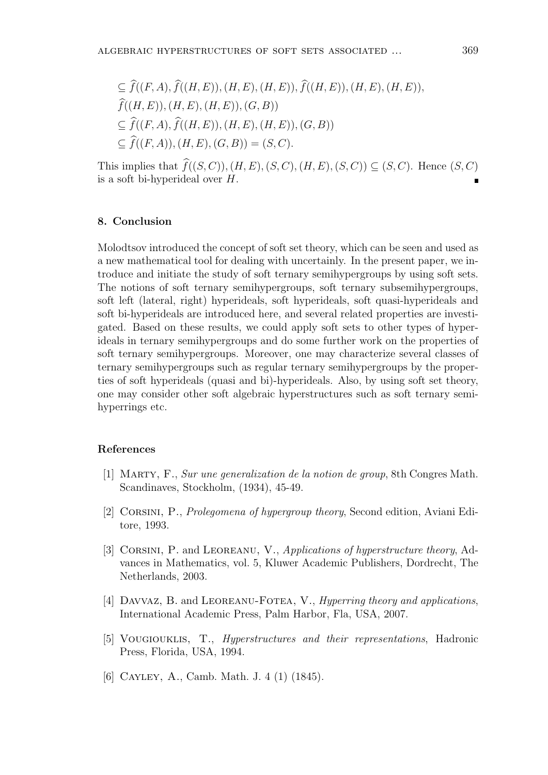EBRAIC HYPERSTRUCTURES OF SOFF SETS ASSOCIATED ...  
\n
$$
\subseteq \widehat{f}((F, A), \widehat{f}((H, E)), (H, E), (H, E)), \widehat{f}((H, E)), (H, E), (H, E)),
$$
  
\n $\widehat{f}((H, E)), (H, E), (H, E)), (G, B))$   
\n $\subseteq \widehat{f}((F, A), \widehat{f}((H, E)), (H, E), (H, E)), (G, B))$   
\n $\subseteq \widehat{f}((F, A)), (H, E), (G, B)) = (S, C).$ 

This implies that  $\hat{f}((S, C)), (H, E), (S, C), (H, E), (S, C)) \subseteq (S, C)$ . Hence  $(S, C)$ is a soft bi-hyperideal over *H*.

#### **8. Conclusion**

Molodtsov introduced the concept of soft set theory, which can be seen and used as a new mathematical tool for dealing with uncertainly. In the present paper, we introduce and initiate the study of soft ternary semihypergroups by using soft sets. The notions of soft ternary semihypergroups, soft ternary subsemihypergroups, soft left (lateral, right) hyperideals, soft hyperideals, soft quasi-hyperideals and soft bi-hyperideals are introduced here, and several related properties are investigated. Based on these results, we could apply soft sets to other types of hyperideals in ternary semihypergroups and do some further work on the properties of soft ternary semihypergroups. Moreover, one may characterize several classes of ternary semihypergroups such as regular ternary semihypergroups by the properties of soft hyperideals (quasi and bi)-hyperideals. Also, by using soft set theory, one may consider other soft algebraic hyperstructures such as soft ternary semihyperrings etc.

### **References**

- [1] Marty, F., *Sur une generalization de la notion de group*, 8th Congres Math. Scandinaves, Stockholm, (1934), 45-49.
- [2] Corsini, P., *Prolegomena of hypergroup theory*, Second edition, Aviani Editore, 1993.
- [3] Corsini, P. and Leoreanu, V., *Applications of hyperstructure theory*, Advances in Mathematics, vol. 5, Kluwer Academic Publishers, Dordrecht, The Netherlands, 2003.
- [4] Davvaz, B. and Leoreanu-Fotea, V., *Hyperring theory and applications*, International Academic Press, Palm Harbor, Fla, USA, 2007.
- [5] Vougiouklis, T., *Hyperstructures and their representations*, Hadronic Press, Florida, USA, 1994.
- [6] CAYLEY, A., Camb. Math. J. 4 (1) (1845).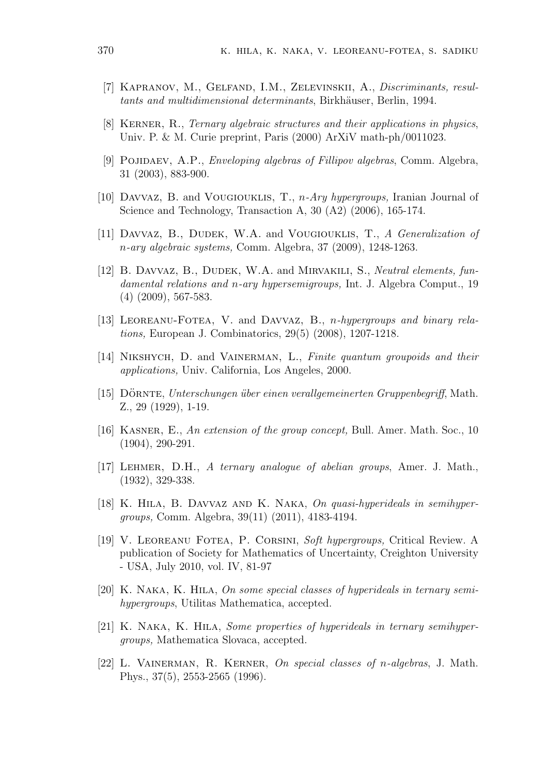- [7] Kapranov, M., Gelfand, I.M., Zelevinskii, A., *Discriminants, resul* $tants$  and multidimensional determinants, Birkhäuser, Berlin, 1994.
- [8] Kerner, R., *Ternary algebraic structures and their applications in physics*, Univ. P. & M. Curie preprint, Paris (2000) ArXiV math-ph/0011023.
- [9] Pojidaev, A.P., *Enveloping algebras of Fillipov algebras*, Comm. Algebra, 31 (2003), 883-900.
- [10] Davvaz, B. and Vougiouklis, T., *n-Ary hypergroups,* Iranian Journal of Science and Technology, Transaction A, 30 (A2) (2006), 165-174.
- [11] Davvaz, B., Dudek, W.A. and Vougiouklis, T., *A Generalization of n-ary algebraic systems,* Comm. Algebra, 37 (2009), 1248-1263.
- [12] B. Davvaz, B., Dudek, W.A. and Mirvakili, S., *Neutral elements, fundamental relations and n-ary hypersemigroups,* Int. J. Algebra Comput., 19 (4) (2009), 567-583.
- [13] LEOREANU-FOTEA, V. and DAVVAZ, B., *n-hypergroups and binary relations,* European J. Combinatorics, 29(5) (2008), 1207-1218.
- [14] Nikshych, D. and Vainerman, L., *Finite quantum groupoids and their applications,* Univ. California, Los Angeles, 2000.
- [15] Dornte ¨ , *Unterschungen ¨uber einen verallgemeinerten Gruppenbegriff*, Math. Z., 29 (1929), 1-19.
- [16] Kasner, E., *An extension of the group concept,* Bull. Amer. Math. Soc., 10 (1904), 290-291.
- [17] Lehmer, D.H., *A ternary analogue of abelian groups*, Amer. J. Math., (1932), 329-338.
- [18] K. Hila, B. Davvaz and K. Naka, *On quasi-hyperideals in semihypergroups,* Comm. Algebra, 39(11) (2011), 4183-4194.
- [19] V. Leoreanu Fotea, P. Corsini, *Soft hypergroups,* Critical Review. A publication of Society for Mathematics of Uncertainty, Creighton University - USA, July 2010, vol. IV, 81-97
- [20] K. Naka, K. Hila, *On some special classes of hyperideals in ternary semihypergroups*, Utilitas Mathematica, accepted.
- [21] K. Naka, K. Hila, *Some properties of hyperideals in ternary semihypergroups,* Mathematica Slovaca, accepted.
- [22] L. Vainerman, R. Kerner, *On special classes of n-algebras*, J. Math. Phys., 37(5), 2553-2565 (1996).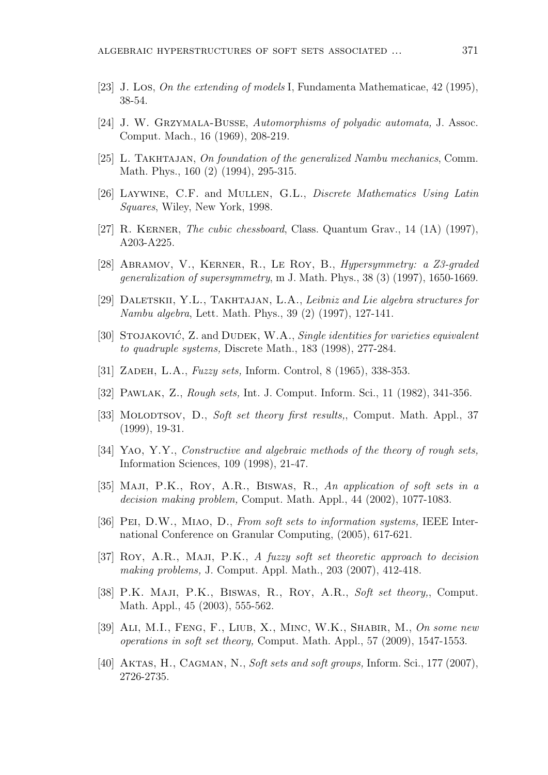- [23] J. Los, *On the extending of models* I, Fundamenta Mathematicae, 42 (1995), 38-54.
- [24] J. W. Grzymala-Busse, *Automorphisms of polyadic automata,* J. Assoc. Comput. Mach., 16 (1969), 208-219.
- [25] L. TAKHTAJAN, *On foundation of the generalized Nambu mechanics*, Comm. Math. Phys., 160 (2) (1994), 295-315.
- [26] Laywine, C.F. and Mullen, G.L., *Discrete Mathematics Using Latin Squares*, Wiley, New York, 1998.
- [27] R. Kerner, *The cubic chessboard*, Class. Quantum Grav., 14 (1A) (1997), A203-A225.
- [28] Abramov, V., Kerner, R., Le Roy, B., *Hypersymmetry: a Z3-graded generalization of supersymmetry*, m J. Math. Phys., 38 (3) (1997), 1650-1669.
- [29] DALETSKII, Y.L., TAKHTAJAN, L.A., *Leibniz and Lie algebra structures for Nambu algebra*, Lett. Math. Phys., 39 (2) (1997), 127-141.
- [30] STOJAKOVIĆ, Z. and DUDEK, W.A., *Single identities for varieties equivalent to quadruple systems,* Discrete Math., 183 (1998), 277-284.
- [31] Zadeh, L.A., *Fuzzy sets,* Inform. Control, 8 (1965), 338-353.
- [32] Pawlak, Z., *Rough sets,* Int. J. Comput. Inform. Sci., 11 (1982), 341-356.
- [33] Molodtsov, D., *Soft set theory first results,*, Comput. Math. Appl., 37 (1999), 19-31.
- [34] Yao, Y.Y., *Constructive and algebraic methods of the theory of rough sets,* Information Sciences, 109 (1998), 21-47.
- [35] Maji, P.K., Roy, A.R., Biswas, R., *An application of soft sets in a decision making problem,* Comput. Math. Appl., 44 (2002), 1077-1083.
- [36] Pei, D.W., Miao, D., *From soft sets to information systems,* IEEE International Conference on Granular Computing, (2005), 617-621.
- [37] Roy, A.R., Maji, P.K., *A fuzzy soft set theoretic approach to decision making problems,* J. Comput. Appl. Math., 203 (2007), 412-418.
- [38] P.K. Maji, P.K., Biswas, R., Roy, A.R., *Soft set theory,*, Comput. Math. Appl., 45 (2003), 555-562.
- [39] Ali, M.I., Feng, F., Liub, X., Minc, W.K., Shabir, M., *On some new operations in soft set theory,* Comput. Math. Appl., 57 (2009), 1547-1553.
- [40] Aktas, H., Cagman, N., *Soft sets and soft groups,* Inform. Sci., 177 (2007), 2726-2735.